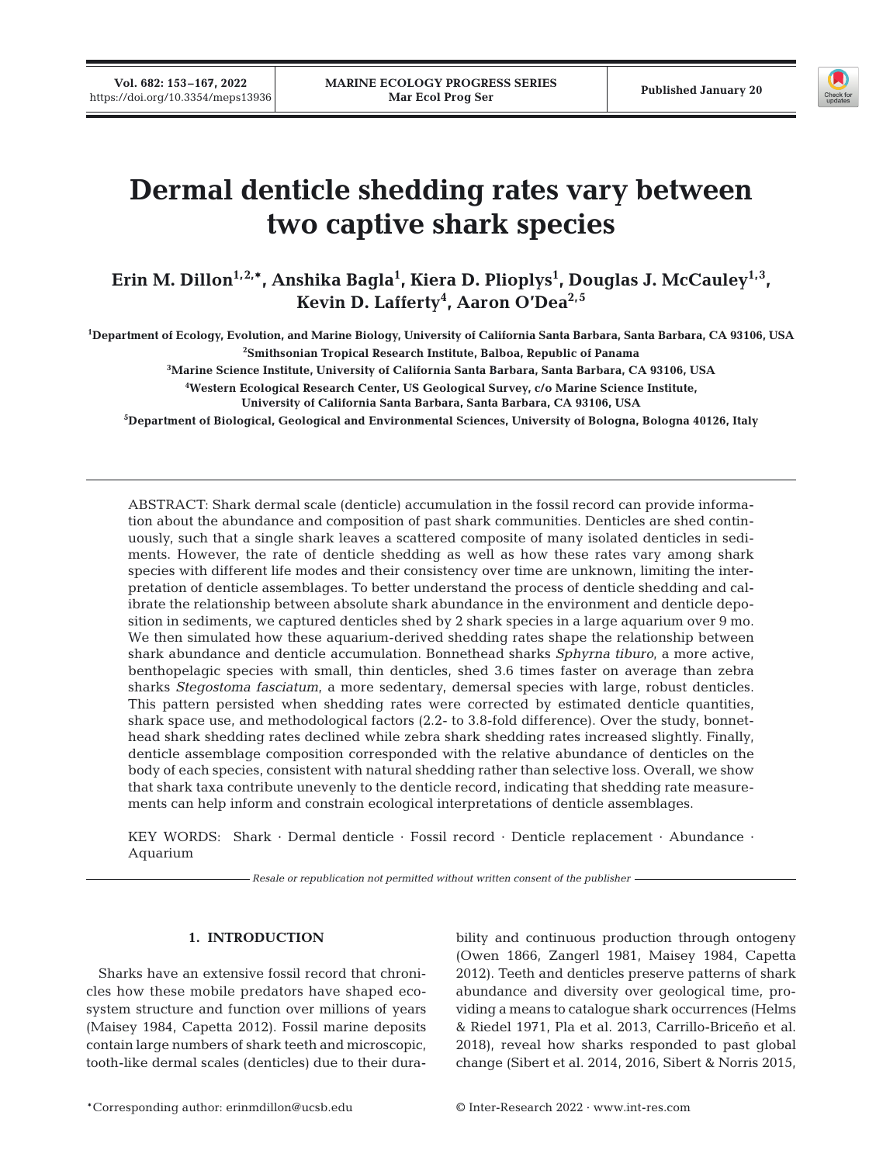

# **Dermal denticle shedding rates vary between two captive shark species**

Erin M. Dillon<sup>1,2,</sup>\*, Anshika Bagla<sup>1</sup>, Kiera D. Plioplys<sup>1</sup>, Douglas J. McCauley<sup>1,3</sup>, **Kevin D. Lafferty4 , Aaron O'Dea2,5**

**1 Department of Ecology, Evolution, and Marine Biology, University of California Santa Barbara, Santa Barbara, CA 93106, USA**

**2 Smithsonian Tropical Research Institute, Balboa, Republic of Panama**

**3 Marine Science Institute, University of California Santa Barbara, Santa Barbara, CA 93106, USA**

**4 Western Ecological Research Center, US Geological Survey, c/o Marine Science Institute, University of California Santa Barbara, Santa Barbara, CA 93106, USA**

**5 Department of Biological, Geological and Environmental Sciences, University of Bologna, Bologna 40126, Italy**

ABSTRACT: Shark dermal scale (denticle) accumulation in the fossil record can provide information about the abundance and composition of past shark communities. Denticles are shed continuously, such that a single shark leaves a scattered composite of many isolated denticles in sediments. However, the rate of denticle shedding as well as how these rates vary among shark species with different life modes and their consistency over time are unknown, limiting the interpretation of denticle assemblages. To better understand the process of denticle shedding and calibrate the relationship between absolute shark abundance in the environment and denticle deposition in sediments, we captured denticles shed by 2 shark species in a large aquarium over 9 mo. We then simulated how these aquarium-derived shedding rates shape the relationship between shark abundance and denticle accumulation. Bonnethead sharks *Sphyrna tiburo*, a more active, benthopelagic species with small, thin denticles, shed 3.6 times faster on average than zebra sharks *Stegostoma fasciatum*, a more sedentary, demersal species with large, robust denticles. This pattern persisted when shedding rates were corrected by estimated denticle quantities, shark space use, and methodological factors (2.2- to 3.8-fold difference). Over the study, bonnethead shark shedding rates declined while zebra shark shedding rates increased slightly. Finally, denticle assemblage composition corresponded with the relative abundance of denticles on the body of each species, consistent with natural shedding rather than selective loss. Overall, we show that shark taxa contribute unevenly to the denticle record, indicating that shedding rate measurements can help inform and constrain ecological interpretations of denticle assemblages.

KEY WORDS: Shark · Dermal denticle · Fossil record · Denticle replacement · Abundance · Aquarium

*Resale or republication not permitted without written consent of the publisher*

# **1. INTRODUCTION**

Sharks have an extensive fossil record that chronicles how these mobile predators have shaped ecosystem structure and function over millions of years (Maisey 1984, Capetta 2012). Fossil marine deposits contain large numbers of shark teeth and microscopic, tooth-like dermal scales (denticles) due to their durability and continuous production through ontogeny (Owen 1866, Zangerl 1981, Maisey 1984, Capetta 2012). Teeth and denticles preserve patterns of shark abundance and diversity over geological time, providing a means to catalogue shark occurrences (Helms & Riedel 1971, Pla et al. 2013, Carrillo-Briceño et al. 2018), reveal how sharks responded to past global change (Sibert et al. 2014, 2016, Sibert & Norris 2015,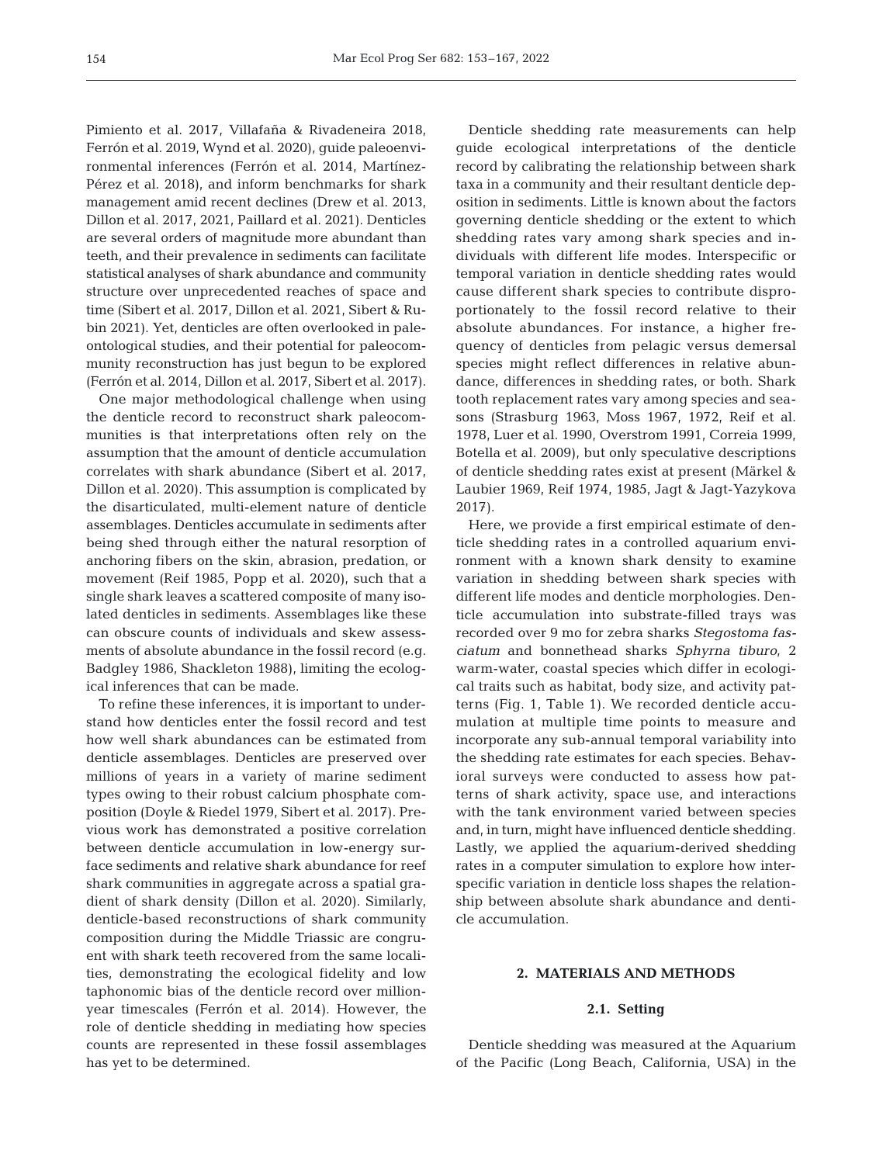Pimiento et al. 2017, Villafaña & Rivadeneira 2018, Ferrón et al. 2019, Wynd et al. 2020), guide paleoenvironmental inferences (Ferrón et al. 2014, Martínez-Pérez et al. 2018), and inform benchmarks for shark management amid recent declines (Drew et al. 2013, Dillon et al. 2017, 2021, Paillard et al. 2021). Denticles are several orders of magnitude more abundant than teeth, and their prevalence in sediments can facilitate statistical analyses of shark abundance and community structure over unprecedented reaches of space and time (Sibert et al. 2017, Dillon et al. 2021, Sibert & Rubin 2021). Yet, denticles are often overlooked in paleontological studies, and their potential for paleocommunity reconstruction has just begun to be explored (Ferrón et al. 2014, Dillon et al. 2017, Sibert et al. 2017).

One major methodological challenge when using the denticle record to reconstruct shark paleocommunities is that interpretations often rely on the assumption that the amount of denticle accumulation correlates with shark abundance (Sibert et al. 2017, Dillon et al. 2020). This assumption is complicated by the disarticulated, multi-element nature of denticle assemblages. Denticles accumulate in sediments after being shed through either the natural resorption of anchoring fibers on the skin, abrasion, predation, or movement (Reif 1985, Popp et al. 2020), such that a single shark leaves a scattered composite of many isolated denticles in sediments. Assemblages like these can obscure counts of individuals and skew assessments of absolute abundance in the fossil record (e.g. Badgley 1986, Shackleton 1988), limiting the ecological inferences that can be made.

To refine these inferences, it is important to understand how denticles enter the fossil record and test how well shark abundances can be estimated from denticle assemblages. Denticles are preserved over millions of years in a variety of marine sediment types owing to their robust calcium phosphate composition (Doyle & Riedel 1979, Sibert et al. 2017). Previous work has demonstrated a positive correlation between denticle accumulation in low-energy surface sediments and relative shark abundance for reef shark communities in aggregate across a spatial gradient of shark density (Dillon et al. 2020). Similarly, denticle-based reconstructions of shark community composition during the Middle Triassic are congruent with shark teeth recovered from the same localities, demonstrating the ecological fidelity and low taphonomic bias of the denticle record over millionyear timescales (Ferrón et al. 2014). However, the role of denticle shedding in mediating how species counts are represented in these fossil assemblages has yet to be determined.

Denticle shedding rate measurements can help guide ecological interpretations of the denticle record by calibrating the relationship between shark taxa in a community and their resultant denticle deposition in sediments. Little is known about the factors governing denticle shedding or the extent to which shedding rates vary among shark species and in dividuals with different life modes. Interspecific or temporal variation in denticle shedding rates would cause different shark species to contribute disproportionately to the fossil record relative to their absolute abundances. For instance, a higher frequency of denticles from pelagic versus demersal species might reflect differences in relative abundance, differences in shedding rates, or both. Shark tooth replacement rates vary among species and seasons (Strasburg 1963, Moss 1967, 1972, Reif et al. 1978, Luer et al. 1990, Overstrom 1991, Correia 1999, Botella et al. 2009), but only speculative descriptions of denticle shedding rates exist at present (Märkel & Laubier 1969, Reif 1974, 1985, Jagt & Jagt-Yazykova 2017).

Here, we provide a first empirical estimate of denticle shedding rates in a controlled aquarium environment with a known shark density to examine variation in shedding between shark species with different life modes and denticle morphologies. Denticle accumulation into substrate-filled trays was recorded over 9 mo for zebra sharks *Stegostoma fasciatum* and bonnethead sharks *Sphyrna tiburo*, 2 warm-water, coastal species which differ in ecological traits such as habitat, body size, and activity patterns (Fig. 1, Table 1). We recorded denticle accumulation at multiple time points to measure and incorporate any sub-annual temporal variability into the shedding rate estimates for each species. Behavioral surveys were conducted to assess how patterns of shark activity, space use, and interactions with the tank environment varied between species and, in turn, might have influenced denticle shedding. Lastly, we applied the aquarium-derived shedding rates in a computer simulation to explore how interspecific variation in denticle loss shapes the relationship between absolute shark abundance and denticle accumulation.

# **2. MATERIALS AND METHODS**

# **2.1. Setting**

Denticle shedding was measured at the Aquarium of the Pacific (Long Beach, California, USA) in the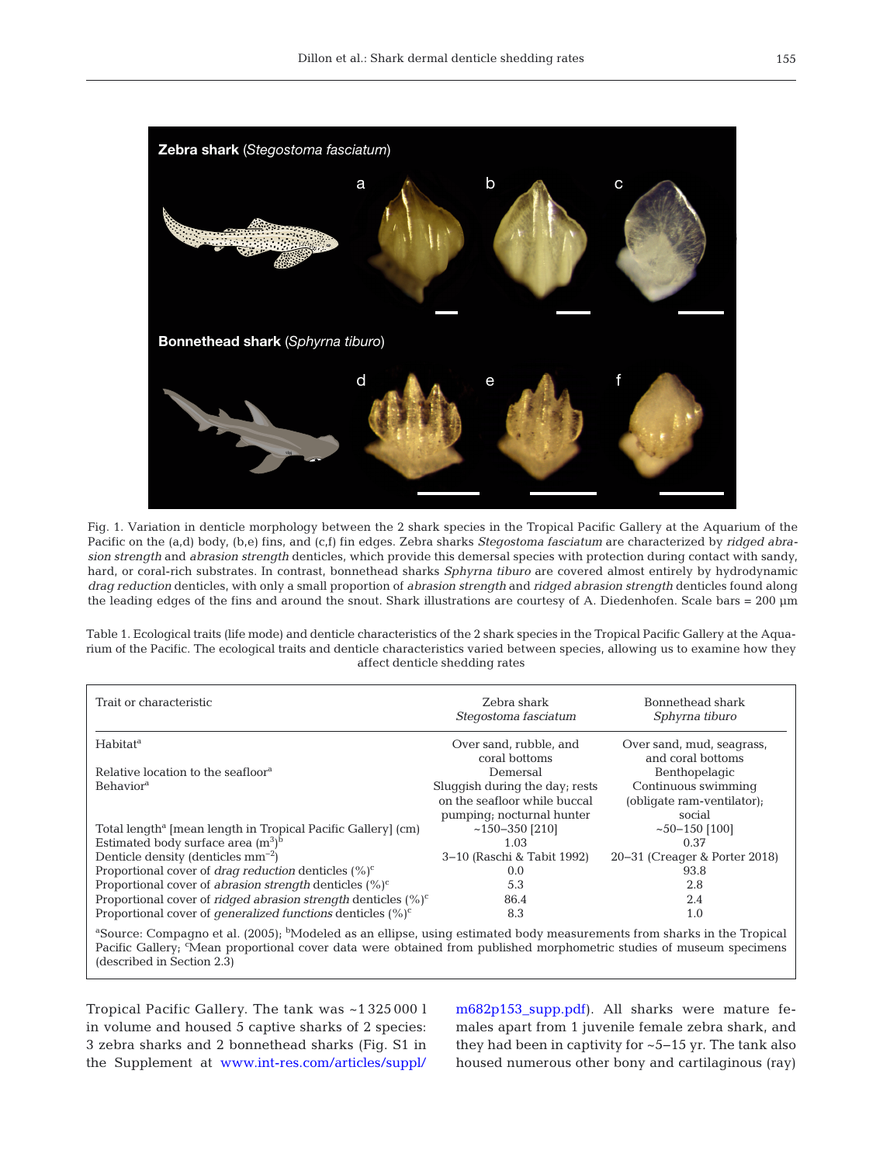

Fig. 1. Variation in denticle morphology between the 2 shark species in the Tropical Pacific Gallery at the Aquarium of the Pacific on the (a,d) body, (b,e) fins, and (c,f) fin edges. Zebra sharks *Stegostoma fasciatum* are characterized by *ridged abrasion strength* and *abrasion strength* denticles, which provide this demersal species with protection during contact with sandy, hard, or coral-rich substrates. In contrast, bonnethead sharks *Sphyrna tiburo* are covered almost entirely by hydrodynamic *drag reduction* denticles, with only a small proportion of *abrasion strength* and *ridged abrasion strength* denticles found along the leading edges of the fins and around the snout. Shark illustrations are courtesy of A. Diedenhofen. Scale bars = 200 μm

Table 1. Ecological traits (life mode) and denticle characteristics of the 2 shark species in the Tropical Pacific Gallery at the Aqua rium of the Pacific. The ecological traits and denticle characteristics varied between species, allowing us to examine how they affect denticle shedding rates

| Trait or characteristic                                                                                                                                                                                                                                                                              | Zebra shark<br>Stegostoma fasciatum | Bonnethead shark<br>Sphyrna tiburo |  |  |  |
|------------------------------------------------------------------------------------------------------------------------------------------------------------------------------------------------------------------------------------------------------------------------------------------------------|-------------------------------------|------------------------------------|--|--|--|
| Habitat <sup>a</sup>                                                                                                                                                                                                                                                                                 | Over sand, rubble, and              | Over sand, mud, seagrass,          |  |  |  |
|                                                                                                                                                                                                                                                                                                      | coral bottoms                       | and coral bottoms                  |  |  |  |
| Relative location to the seafloor <sup>a</sup>                                                                                                                                                                                                                                                       | Demersal                            | Benthopelagic                      |  |  |  |
| <b>Behavior</b> <sup>a</sup>                                                                                                                                                                                                                                                                         | Sluggish during the day; rests      | Continuous swimming                |  |  |  |
|                                                                                                                                                                                                                                                                                                      | on the seafloor while buccal        | (obligate ram-ventilator);         |  |  |  |
|                                                                                                                                                                                                                                                                                                      | pumping; nocturnal hunter           | social                             |  |  |  |
| Total length <sup>a</sup> [mean length in Tropical Pacific Gallery] (cm)                                                                                                                                                                                                                             | $~150 - 350$ [210]                  | $~150 - 150$ [100]                 |  |  |  |
| Estimated body surface area $(m^3)^b$                                                                                                                                                                                                                                                                | 1.03                                | 0.37                               |  |  |  |
| Denticle density (denticles $mm^{-2}$ )                                                                                                                                                                                                                                                              | 3–10 (Raschi & Tabit 1992)          | 20-31 (Creager & Porter 2018)      |  |  |  |
| Proportional cover of <i>drag reduction</i> denticles $(\%)^c$                                                                                                                                                                                                                                       | 0.0                                 | 93.8                               |  |  |  |
| Proportional cover of <i>abrasion strength</i> denticles $(\%)^c$                                                                                                                                                                                                                                    | 5.3                                 | 2.8                                |  |  |  |
| Proportional cover of <i>ridged abrasion strength</i> denticles $(\%)^c$                                                                                                                                                                                                                             | 86.4                                | 2.4                                |  |  |  |
| Proportional cover of <i>generalized functions</i> denticles $(\%)^c$                                                                                                                                                                                                                                | 8.3                                 | 1.0                                |  |  |  |
| <sup>a</sup> Source: Compagno et al. (2005); <sup>b</sup> Modeled as an ellipse, using estimated body measurements from sharks in the Tropical<br>Pacific Gallery; 'Mean proportional cover data were obtained from published morphometric studies of museum specimens<br>(described in Section 2.3) |                                     |                                    |  |  |  |

Tropical Pacific Gallery. The tank was ~1 325 000 l in volume and housed 5 captive sharks of 2 species: 3 zebra sharks and 2 bonnethead sharks (Fig. S1 in the Supplement at www.int-res.com/articles/suppl/

m682p153\_supp.pdf). All sharks were mature females apart from 1 juvenile female zebra shark, and they had been in captivity for ~5−15 yr. The tank also housed numerous other bony and cartilaginous (ray)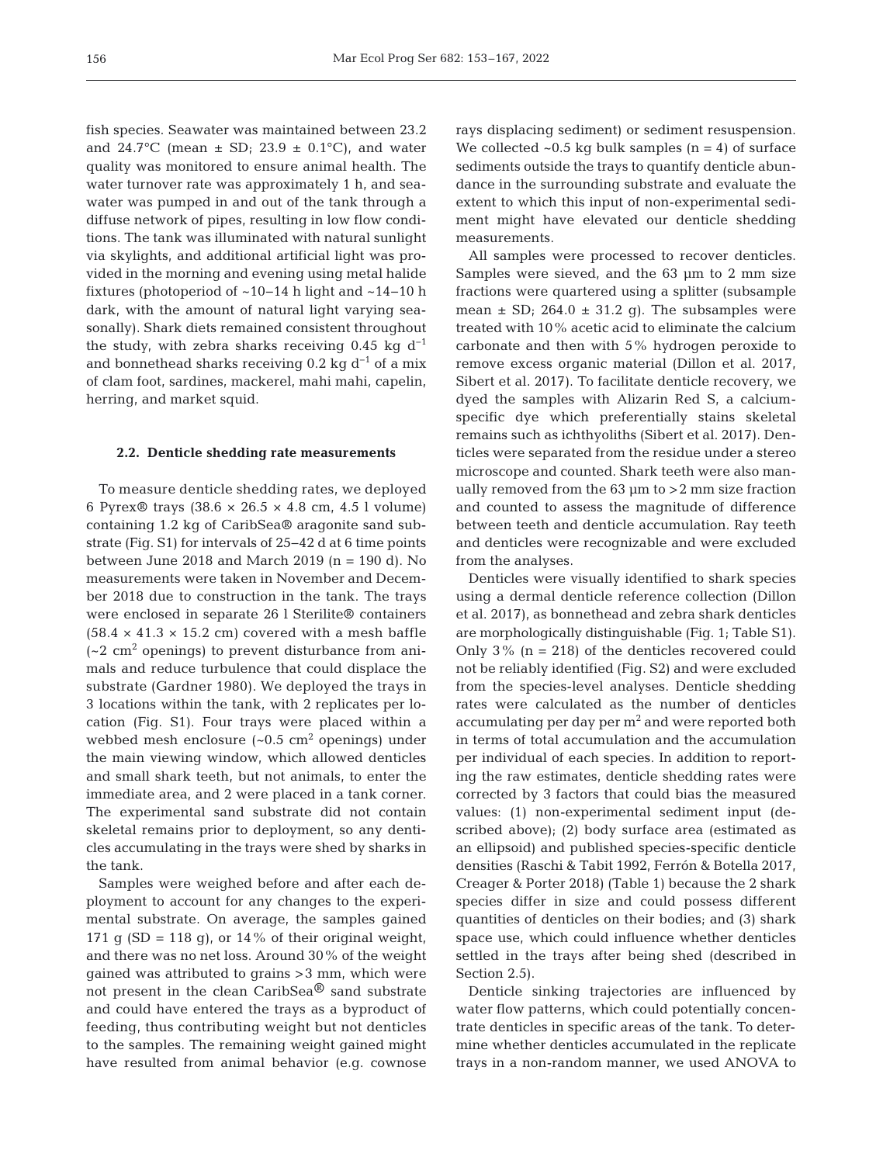fish species. Seawater was maintained between 23.2 and 24.7°C (mean  $\pm$  SD; 23.9  $\pm$  0.1°C), and water quality was monitored to ensure animal health. The water turnover rate was approximately 1 h, and seawater was pumped in and out of the tank through a diffuse network of pipes, resulting in low flow conditions. The tank was illuminated with natural sunlight via skylights, and additional artificial light was provided in the morning and evening using metal halide fixtures (photoperiod of ~10−14 h light and ~14−10 h dark, with the amount of natural light varying seasonally). Shark diets remained consistent throughout the study, with zebra sharks receiving 0.45 kg  $d^{-1}$ and bonnethead sharks receiving 0.2 kg  $d^{-1}$  of a mix of clam foot, sardines, mackerel, mahi mahi, capelin, herring, and market squid.

## **2.2. Denticle shedding rate measurements**

To measure denticle shedding rates, we deployed 6 Pyrex® trays  $(38.6 \times 26.5 \times 4.8 \text{ cm}, 4.5 \text{ l} \text{ volume})$ containing 1.2 kg of CaribSea® aragonite sand substrate (Fig. S1) for intervals of 25−42 d at 6 time points between June 2018 and March 2019 (n = 190 d). No measurements were taken in November and December 2018 due to construction in the tank. The trays were enclosed in separate 26 l Sterilite® containers  $(58.4 \times 41.3 \times 15.2$  cm) covered with a mesh baffle  $(-2 \text{ cm}^2 \text{ opening})$  to prevent disturbance from animals and reduce turbulence that could displace the substrate (Gardner 1980). We deployed the trays in 3 locations within the tank, with 2 replicates per lo cation (Fig. S1). Four trays were placed within a webbed mesh enclosure  $(-0.5 \text{ cm}^2 \text{ opening})$  under the main viewing window, which allowed denticles and small shark teeth, but not animals, to enter the immediate area, and 2 were placed in a tank corner. The experimental sand substrate did not contain skeletal remains prior to deployment, so any denticles accumulating in the trays were shed by sharks in the tank.

Samples were weighed before and after each deployment to account for any changes to the experimental substrate. On average, the samples gained 171 g (SD = 118 g), or 14% of their original weight, and there was no net loss. Around 30% of the weight gained was attributed to grains >3 mm, which were not present in the clean CaribSea® sand substrate and could have entered the trays as a byproduct of feeding, thus contributing weight but not denticles to the samples. The remaining weight gained might have resulted from animal behavior (e.g. cownose

rays displacing sediment) or sediment resuspension. We collected  $\sim 0.5$  kg bulk samples (n = 4) of surface sediments outside the trays to quantify denticle abundance in the surrounding substrate and evaluate the extent to which this input of non-experimental sediment might have elevated our denticle shedding measurements.

All samples were processed to recover denticles. Samples were sieved, and the 63 μm to 2 mm size fractions were quartered using a splitter (subsample mean  $\pm$  SD; 264.0  $\pm$  31.2 g). The subsamples were treated with 10% acetic acid to eliminate the calcium carbonate and then with 5% hydrogen peroxide to remove excess organic material (Dillon et al. 2017, Sibert et al. 2017). To facilitate denticle recovery, we dyed the samples with Alizarin Red S, a calciumspecific dye which preferentially stains skeletal remains such as ichthyoliths (Sibert et al. 2017). Denticles were separated from the residue under a stereo microscope and counted. Shark teeth were also manually removed from the 63 μm to >2 mm size fraction and counted to assess the magnitude of difference between teeth and denticle accumulation. Ray teeth and denticles were recognizable and were excluded from the analyses.

Denticles were visually identified to shark species using a dermal denticle reference collection (Dillon et al. 2017), as bonnethead and zebra shark denticles are morphologically distinguishable (Fig. 1; Table S1). Only 3% (n = 218) of the denticles recovered could not be reliably identified (Fig. S2) and were excluded from the species-level analyses. Denticle shedding rates were calculated as the number of denticles accumulating per day per  $m<sup>2</sup>$  and were reported both in terms of total accumulation and the accumulation per individual of each species. In addition to reporting the raw estimates, denticle shedding rates were corrected by 3 factors that could bias the measured values: (1) non-experimental sediment input (described above); (2) body surface area (estimated as an ellipsoid) and published species-specific denticle densities (Raschi & Tabit 1992, Ferrón & Botella 2017, Creager & Porter 2018) (Table 1) because the 2 shark species differ in size and could possess different quantities of denticles on their bodies; and (3) shark space use, which could influence whether denticles settled in the trays after being shed (described in Section 2.5).

Denticle sinking trajectories are influenced by water flow patterns, which could potentially concentrate denticles in specific areas of the tank. To determine whether denticles accumulated in the replicate trays in a non-random manner, we used ANOVA to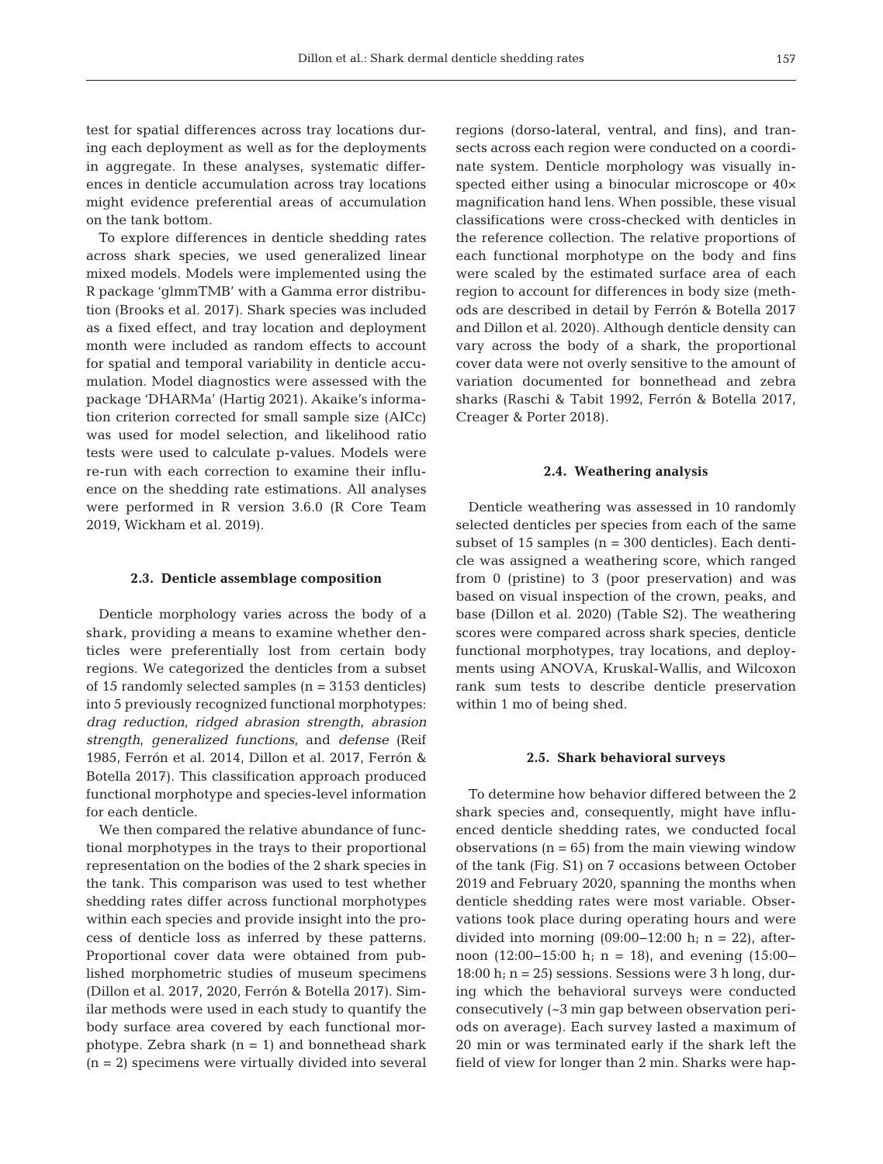test for spatial differences across tray locations during each deployment as well as for the deployments in aggregate. In these analyses, systematic differences in denticle accumulation across tray locations might evidence preferential areas of accumulation on the tank bottom.

To explore differences in denticle shedding rates across shark species, we used generalized linear mixed models. Models were implemented using the R package 'glmmTMB' with a Gamma error distribution (Brooks et al. 2017). Shark species was included as a fixed effect, and tray location and deployment month were included as random effects to account for spatial and temporal variability in denticle accumulation. Model diagnostics were assessed with the package 'DHARMa' (Hartig 2021). Akaike's information criterion corrected for small sample size (AICc) was used for model selection, and likelihood ratio tests were used to calculate p-values. Models were re-run with each correction to examine their influence on the shedding rate estimations. All analyses were performed in R version 3.6.0 (R Core Team 2019, Wickham et al. 2019).

## **2.3. Denticle assemblage composition**

Denticle morphology varies across the body of a shark, providing a means to examine whether denticles were preferentially lost from certain body regions. We categorized the denticles from a subset of 15 randomly selected samples (n = 3153 denticles) into 5 previously recognized functional morphotypes: *drag reduction*, *ridged abrasion strength*, *abrasion strength*, *generalized functions*, and *defense* (Reif 1985, Ferrón et al. 2014, Dillon et al. 2017, Ferrón & Botella 2017). This classification approach produced functional morphotype and species-level information for each denticle.

We then compared the relative abundance of functional morphotypes in the trays to their proportional representation on the bodies of the 2 shark species in the tank. This comparison was used to test whether shedding rates differ across functional morphotypes within each species and provide insight into the process of denticle loss as inferred by these patterns. Proportional cover data were obtained from published morphometric studies of museum specimens (Dillon et al. 2017, 2020, Ferrón & Botella 2017). Similar methods were used in each study to quantify the body surface area covered by each functional morphotype. Zebra shark  $(n = 1)$  and bonnethead shark  $(n = 2)$  specimens were virtually divided into several regions (dorso-lateral, ventral, and fins), and transects across each region were conducted on a coordinate system. Denticle morphology was visually inspected either using a binocular microscope or  $40\times$ magnification hand lens. When possible, these visual classifications were cross-checked with denticles in the reference collection. The relative proportions of each functional morphotype on the body and fins were scaled by the estimated surface area of each region to account for differences in body size (methods are described in detail by Ferrón & Botella 2017 and Dillon et al. 2020). Although denticle density can vary across the body of a shark, the proportional cover data were not overly sensitive to the amount of variation documented for bonnethead and zebra sharks (Raschi & Tabit 1992, Ferrón & Botella 2017, Creager & Porter 2018).

## **2.4. Weathering analysis**

Denticle weathering was assessed in 10 randomly selected denticles per species from each of the same subset of 15 samples  $(n = 300$  denticles). Each denticle was assigned a weathering score, which ranged from 0 (pristine) to 3 (poor preservation) and was based on visual inspection of the crown, peaks, and base (Dillon et al. 2020) (Table S2). The weathering scores were compared across shark species, denticle functional morphotypes, tray locations, and deployments using ANOVA, Kruskal-Wallis, and Wilcoxon rank sum tests to describe denticle preservation within 1 mo of being shed.

#### **2.5. Shark behavioral surveys**

To determine how behavior differed between the 2 shark species and, consequently, might have influenced denticle shedding rates, we conducted focal observations  $(n = 65)$  from the main viewing window of the tank (Fig. S1) on 7 occasions between October 2019 and February 2020, spanning the months when denticle shedding rates were most variable. Observations took place during operating hours and were divided into morning  $(09:00−12:00 h; n = 22)$ , afternoon (12:00−15:00 h; n = 18), and evening (15:00− 18:00 h;  $n = 25$ ) sessions. Sessions were 3 h long, during which the behavioral surveys were conducted consecutively (~3 min gap between observation periods on average). Each survey lasted a maximum of 20 min or was terminated early if the shark left the field of view for longer than 2 min. Sharks were hap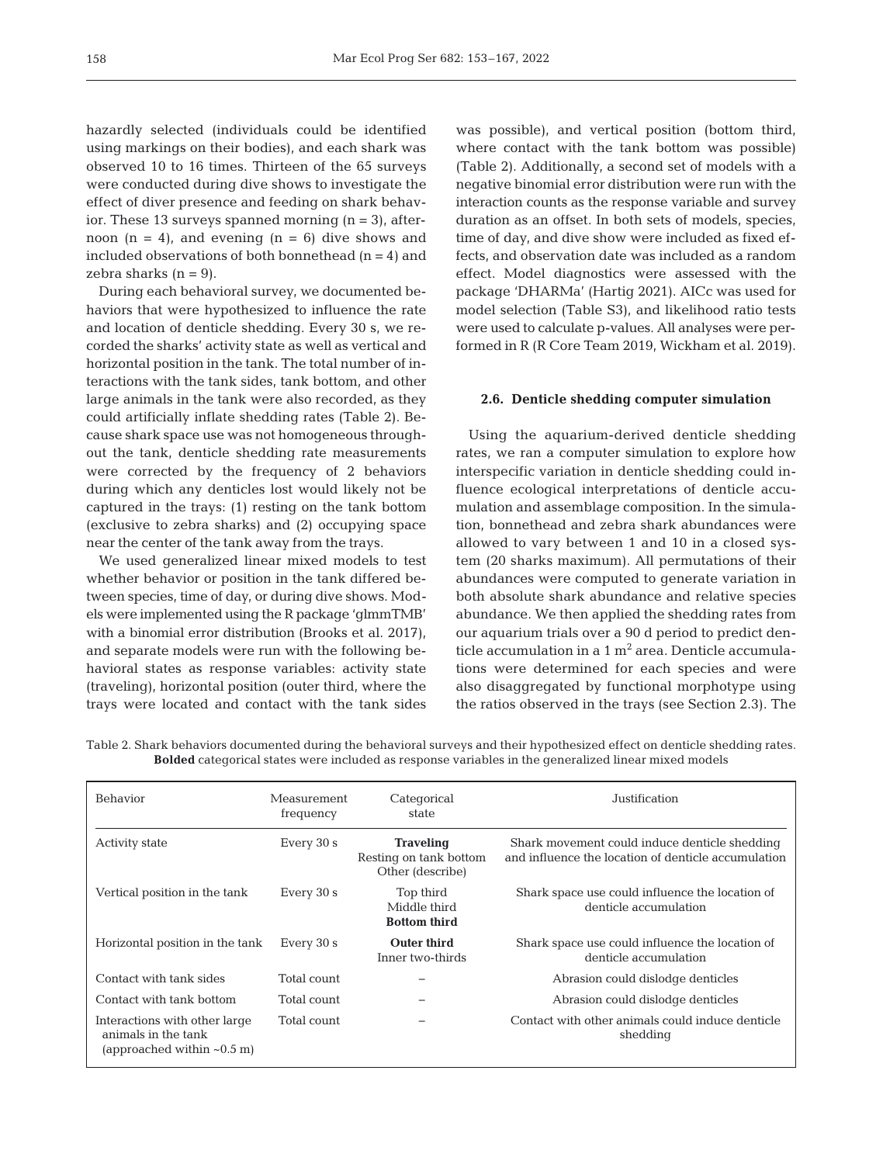hazardly selected (individuals could be identified using markings on their bodies), and each shark was observed 10 to 16 times. Thirteen of the 65 surveys were conducted during dive shows to investigate the effect of diver presence and feeding on shark behavior. These 13 surveys spanned morning  $(n = 3)$ , afternoon  $(n = 4)$ , and evening  $(n = 6)$  dive shows and included observations of both bonnethead  $(n = 4)$  and zebra sharks  $(n = 9)$ .

During each behavioral survey, we documented be haviors that were hypothesized to influence the rate and location of denticle shedding. Every 30 s, we recorded the sharks' activity state as well as vertical and horizontal position in the tank. The total number of interactions with the tank sides, tank bottom, and other large animals in the tank were also recorded, as they could artificially inflate shedding rates (Table 2). Because shark space use was not homogeneous throughout the tank, denticle shedding rate measurements were corrected by the frequency of 2 behaviors during which any denticles lost would likely not be captured in the trays: (1) resting on the tank bottom (exclusive to zebra sharks) and (2) occupying space near the center of the tank away from the trays.

We used generalized linear mixed models to test whether behavior or position in the tank differed between species, time of day, or during dive shows. Models were implemented using the R package 'glmmTMB' with a binomial error distribution (Brooks et al. 2017), and separate models were run with the following behavioral states as response variables: activity state (traveling), horizontal position (outer third, where the trays were located and contact with the tank sides

was possible), and vertical position (bottom third, where contact with the tank bottom was possible) (Table 2). Additionally, a second set of models with a negative binomial error distribution were run with the interaction counts as the response variable and survey duration as an offset. In both sets of models, species, time of day, and dive show were included as fixed effects, and observation date was included as a random effect. Model diagnostics were assessed with the package 'DHARMa' (Hartig 2021). AICc was used for model selection (Table S3), and likelihood ratio tests were used to calculate p-values. All analyses were performed in R (R Core Team 2019, Wickham et al. 2019).

## **2.6. Denticle shedding computer simulation**

Using the aquarium-derived denticle shedding rates, we ran a computer simulation to explore how interspecific variation in denticle shedding could in fluence ecological interpretations of denticle accumulation and assemblage composition. In the simulation, bonnethead and zebra shark abundances were allowed to vary between 1 and 10 in a closed system (20 sharks maximum). All permutations of their abundances were computed to generate variation in both absolute shark abundance and relative species abundance. We then applied the shedding rates from our aquarium trials over a 90 d period to predict denticle accumulation in a  $1 \text{ m}^2$  area. Denticle accumulations were determined for each species and were also disaggregated by functional morphotype using the ratios observed in the trays (see Section 2.3). The

| Table 2. Shark behaviors documented during the behavioral surveys and their hypothesized effect on denticle shedding rates. |
|-----------------------------------------------------------------------------------------------------------------------------|
| <b>Bolded</b> categorical states were included as response variables in the generalized linear mixed models                 |

| <b>Behavior</b>                                                                          | Measurement<br>frequency | Categorical<br>state                                           | Justification                                                                                        |
|------------------------------------------------------------------------------------------|--------------------------|----------------------------------------------------------------|------------------------------------------------------------------------------------------------------|
| <b>Activity state</b>                                                                    | Every 30 s               | <b>Traveling</b><br>Resting on tank bottom<br>Other (describe) | Shark movement could induce denticle shedding<br>and influence the location of denticle accumulation |
| Vertical position in the tank                                                            | Every 30 s               | Top third<br>Middle third<br><b>Bottom third</b>               | Shark space use could influence the location of<br>denticle accumulation                             |
| Horizontal position in the tank                                                          | Every 30 s               | <b>Outer third</b><br>Inner two-thirds                         | Shark space use could influence the location of<br>denticle accumulation                             |
| Contact with tank sides                                                                  | Total count              |                                                                | Abrasion could dislodge denticles                                                                    |
| Contact with tank bottom                                                                 | Total count              |                                                                | Abrasion could dislodge denticles                                                                    |
| Interactions with other large<br>animals in the tank<br>(approached within $\sim 0.5$ m) | Total count              |                                                                | Contact with other animals could induce denticle<br>shedding                                         |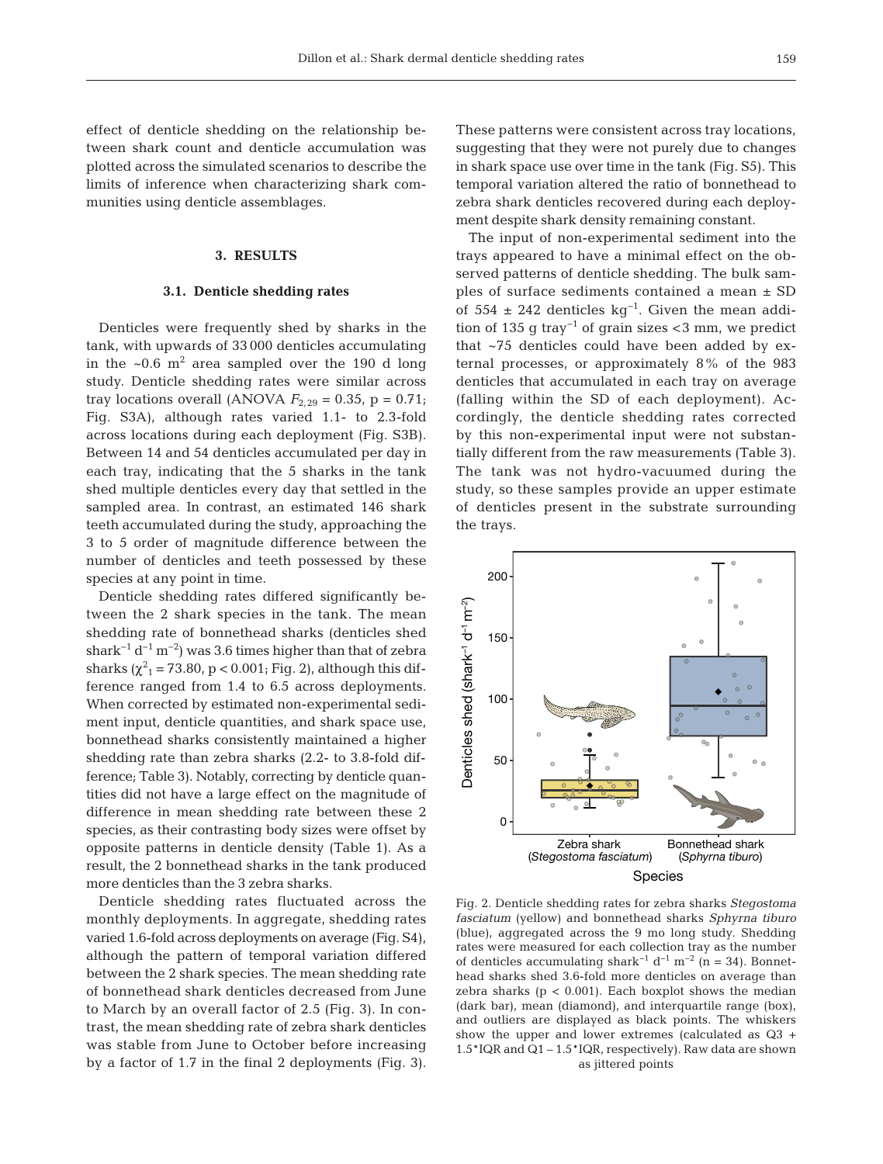effect of denticle shedding on the relationship be tween shark count and denticle accumulation was plotted across the simulated scenarios to describe the limits of inference when characterizing shark communities using denticle assemblages.

## **3. RESULTS**

#### **3.1. Denticle shedding rates**

Denticles were frequently shed by sharks in the tank, with upwards of 33 000 denticles accumulating in the  $\sim 0.6$  m<sup>2</sup> area sampled over the 190 d long study. Denticle shedding rates were similar across tray locations overall (ANOVA  $F_{2,29} = 0.35$ , p = 0.71; Fig. S3A), although rates varied 1.1- to 2.3-fold across locations during each deployment (Fig. S3B). Between 14 and 54 denticles accumulated per day in each tray, indicating that the 5 sharks in the tank shed multiple denticles every day that settled in the sampled area. In contrast, an estimated 146 shark teeth accumulated during the study, approaching the 3 to 5 order of magnitude difference between the number of denticles and teeth possessed by these species at any point in time.

Denticle shedding rates differed significantly between the 2 shark species in the tank. The mean shedding rate of bonnethead sharks (denticles shed shark<sup>-1</sup> d<sup>-1</sup> m<sup>-2</sup>) was 3.6 times higher than that of zebra sharks ( $\chi^2$ <sub>1</sub> = 73.80, p < 0.001; Fig. 2), although this difference ranged from 1.4 to 6.5 across deployments. When corrected by estimated non-experimental sediment input, denticle quantities, and shark space use, bonnethead sharks consistently maintained a higher shedding rate than zebra sharks (2.2- to 3.8-fold difference; Table 3). Notably, correcting by denticle quantities did not have a large effect on the magnitude of difference in mean shedding rate between these 2 species, as their contrasting body sizes were offset by opposite patterns in denticle density (Table 1). As a result, the 2 bonnethead sharks in the tank produced more denticles than the 3 zebra sharks.

Denticle shedding rates fluctuated across the monthly deployments. In aggregate, shedding rates varied 1.6-fold across deployments on average (Fig. S4), although the pattern of temporal variation differed between the 2 shark species. The mean shedding rate of bonnethead shark denticles decreased from June to March by an overall factor of 2.5 (Fig. 3). In contrast, the mean shedding rate of zebra shark denticles was stable from June to October before increasing by a factor of 1.7 in the final 2 deployments (Fig. 3). These patterns were consistent across tray locations, suggesting that they were not purely due to changes in shark space use over time in the tank (Fig. S5). This temporal variation altered the ratio of bonnethead to zebra shark denticles recovered during each deployment despite shark density remaining constant.

The input of non-experimental sediment into the trays appeared to have a minimal effect on the ob served patterns of denticle shedding. The bulk samples of surface sediments contained a mean ± SD of 554 ± 242 denticles kg<sup>-1</sup>. Given the mean addition of 135 g tray<sup>-1</sup> of grain sizes <3 mm, we predict that  $~5$  denticles could have been added by external processes, or approximately 8% of the 983 denticles that accumulated in each tray on average (falling within the SD of each deployment). Ac cordingly, the denticle shedding rates corrected by this non-experimental input were not substantially different from the raw measurements (Table 3). The tank was not hydro-vacuumed during the study, so these samples provide an upper estimate of denticles present in the substrate surrounding the trays.



Fig. 2. Denticle shedding rates for zebra sharks *Stegostoma fasciatum* (yellow) and bonnethead sharks *Sphyrna tiburo* (blue), aggregated across the 9 mo long study. Shedding rates were measured for each collection tray as the number of denticles accumulating shark<sup>-1</sup> d<sup>-1</sup> m<sup>-2</sup> (n = 34). Bonnethead sharks shed 3.6-fold more denticles on average than zebra sharks  $(p < 0.001)$ . Each boxplot shows the median (dark bar), mean (diamond), and interquartile range (box), and outliers are displayed as black points. The whiskers show the upper and lower extremes (calculated as Q3 + 1.5\*IQR and Q1 – 1.5\*IQR, respectively). Raw data are shown as jittered points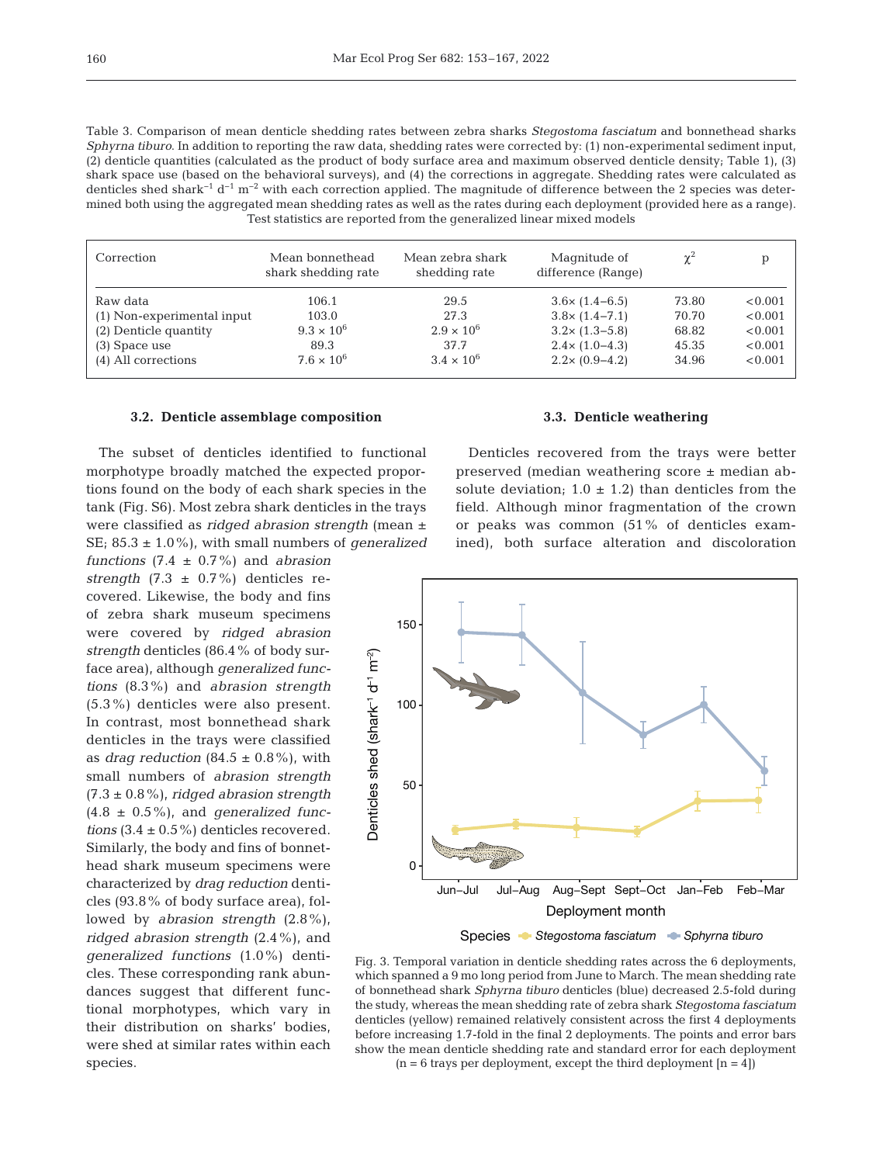Table 3. Comparison of mean denticle shedding rates between zebra sharks *Stegostoma fasciatum* and bonnethead sharks *Sphyrna tiburo*. In addition to reporting the raw data, shedding rates were corrected by: (1) non-experimental sediment input, (2) denticle quantities (calculated as the product of body surface area and maximum observed denticle density; Table 1), (3) shark space use (based on the behavioral surveys), and (4) the corrections in aggregate. Shedding rates were calculated as denticles shed shark<sup>-1</sup> d<sup>-1</sup> m<sup>-2</sup> with each correction applied. The magnitude of difference between the 2 species was determined both using the aggregated mean shedding rates as well as the rates during each deployment (provided here as a range). Test statistics are reported from the generalized linear mixed models

| Correction                 | Mean bonnethead<br>shark shedding rate | Mean zebra shark<br>shedding rate | Magnitude of<br>difference (Range) | $\chi^2$ |         |
|----------------------------|----------------------------------------|-----------------------------------|------------------------------------|----------|---------|
| Raw data                   | 106.1                                  | 29.5                              | $3.6 \times (1.4 - 6.5)$           | 73.80    | < 0.001 |
| (1) Non-experimental input | 103.0                                  | 27.3                              | $3.8 \times (1.4 - 7.1)$           | 70.70    | < 0.001 |
| (2) Denticle quantity      | $9.3 \times 10^{6}$                    | $2.9 \times 10^{6}$               | $3.2 \times (1.3 - 5.8)$           | 68.82    | < 0.001 |
| $(3)$ Space use            | 89.3                                   | 37.7                              | $2.4 \times (1.0 - 4.3)$           | 45.35    | < 0.001 |
| (4) All corrections        | $7.6 \times 10^{6}$                    | $3.4 \times 10^{6}$               | $2.2 \times (0.9 - 4.2)$           | 34.96    | < 0.001 |

## **3.2. Denticle assemblage composition**

The subset of denticles identified to functional morphotype broadly matched the expected proportions found on the body of each shark species in the tank (Fig. S6). Most zebra shark denticles in the trays were classified as *ridged abrasion strength* (mean ± SE; 85.3 ± 1.0%), with small numbers of *generalized*

*functions* (7.4 ± 0.7%) and *abrasion strength*  $(7.3 \pm 0.7\%)$  denticles recovered. Likewise, the body and fins of zebra shark museum specimens were covered by *ridged abrasion strength* denticles (86.4% of body surface area), although *generalized functions* (8.3%) and *abrasion strength* (5.3%) denticles were also present. In contrast, most bonnethead shark denticles in the trays were classified as *drag reduction*  $(84.5 \pm 0.8\%)$ , with small numbers of *abrasion strength* (7.3 ± 0.8%), *ridged abrasion strength* (4.8 ± 0.5%), and *generalized functions*  $(3.4 \pm 0.5\%)$  denticles recovered. Similarly, the body and fins of bonnethead shark museum specimens were characterized by *drag reduction* denticles (93.8% of body surface area), followed by *abrasion strength* (2.8%), *ridged abrasion strength* (2.4%), and *generalized functions* (1.0%) denticles. These corresponding rank abundances suggest that different functional morphotypes, which vary in their distribution on sharks' bodies, were shed at similar rates within each species.

# **3.3. Denticle weathering**

Denticles recovered from the trays were better preserved (median weathering score ± median ab solute deviation;  $1.0 \pm 1.2$ ) than denticles from the field. Although minor fragmentation of the crown or peaks was common (51% of denticles examined), both surface alteration and discoloration



Fig. 3. Temporal variation in denticle shedding rates across the 6 deployments, which spanned a 9 mo long period from June to March. The mean shedding rate of bonnethead shark *Sphyrna tiburo* denticles (blue) decreased 2.5-fold during the study, whereas the mean shedding rate of zebra shark *Stegostoma fasciatum* denticles (yellow) remained relatively consistent across the first 4 deployments before increasing 1.7-fold in the final 2 deployments. The points and error bars show the mean denticle shedding rate and standard error for each deployment  $(n = 6$  trays per deployment, except the third deployment  $[n = 4]$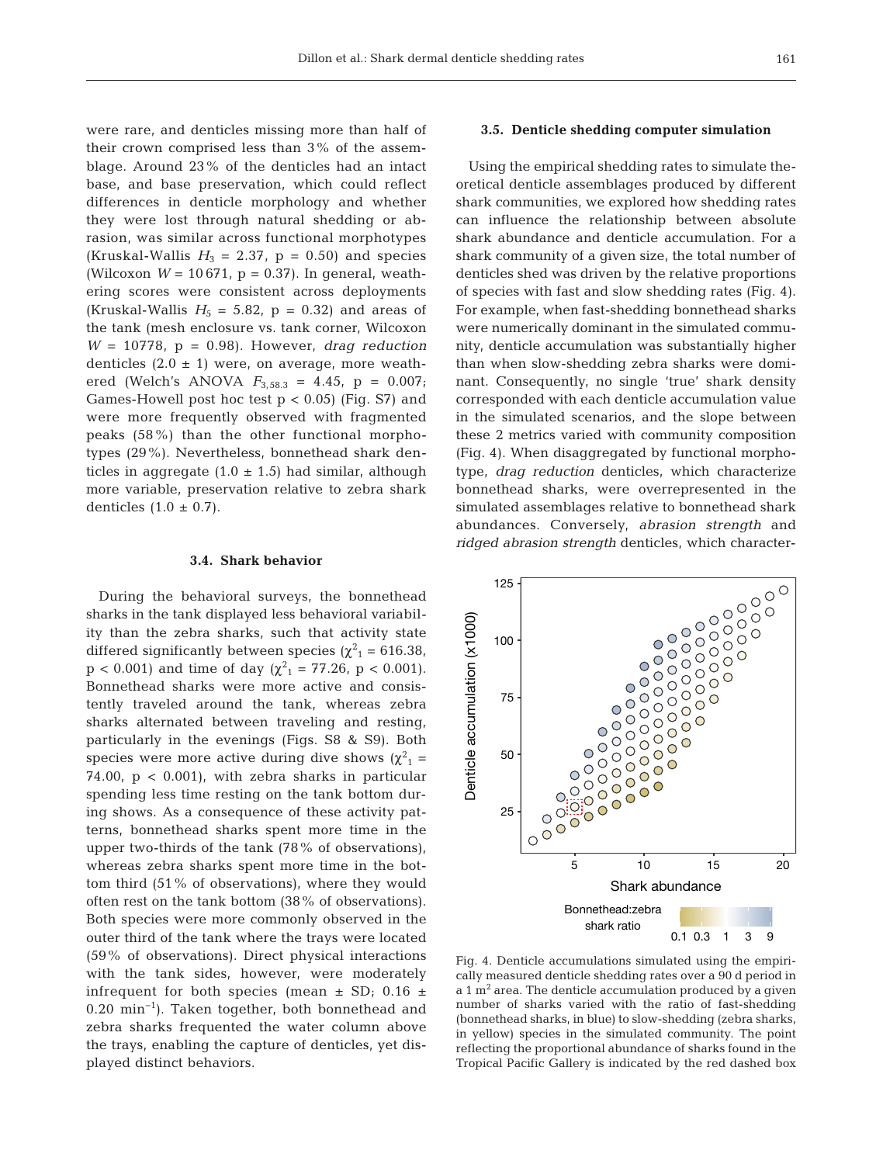were rare, and denticles missing more than half of their crown comprised less than 3% of the assemblage. Around 23% of the denticles had an intact base, and base preservation, which could reflect differences in denticle morphology and whether they were lost through natural shedding or abrasion, was similar across functional morphotypes (Kruskal-Wallis  $H_3 = 2.37$ ,  $p = 0.50$ ) and species (Wilcoxon  $W = 10671$ ,  $p = 0.37$ ). In general, weathering scores were consistent across deployments (Kruskal-Wallis  $H_5 = 5.82$ ,  $p = 0.32$ ) and areas of the tank (mesh enclosure vs. tank corner, Wilcoxon *W* = 10778, p = 0.98). However, *drag reduction* denticles  $(2.0 \pm 1)$  were, on average, more weathered (Welch's ANOVA  $F_{3,58.3} = 4.45$ ,  $p = 0.007$ ; Games-Howell post hoc test  $p < 0.05$ ) (Fig. S7) and were more frequently observed with fragmented peaks (58%) than the other functional morphotypes (29%). Nevertheless, bonnethead shark denticles in aggregate  $(1.0 \pm 1.5)$  had similar, although more variable, preservation relative to zebra shark denticles  $(1.0 \pm 0.7)$ .

# **3.4. Shark behavior**

During the behavioral surveys, the bonnethead sharks in the tank displayed less behavioral variability than the zebra sharks, such that activity state differed significantly between species ( $\chi^2$ <sub>1</sub> = 616.38,  $p < 0.001$ ) and time of day ( $\chi^2_{1} = 77.26$ ,  $p < 0.001$ ). Bonnethead sharks were more active and consistently traveled around the tank, whereas zebra sharks alternated between traveling and resting, particularly in the evenings (Figs. S8 & S9). Both species were more active during dive shows ( $\chi^2$ <sub>1</sub> = 74.00,  $p < 0.001$ ), with zebra sharks in particular spending less time resting on the tank bottom during shows. As a consequence of these activity patterns, bonnethead sharks spent more time in the upper two-thirds of the tank (78% of observations), whereas zebra sharks spent more time in the bottom third (51% of observations), where they would often rest on the tank bottom (38% of observations). Both species were more commonly observed in the outer third of the tank where the trays were located (59% of observations). Direct physical interactions with the tank sides, however, were moderately infrequent for both species (mean  $\pm$  SD; 0.16  $\pm$ 0.20 min−1). Taken together, both bonnethead and zebra sharks frequented the water column above the trays, enabling the capture of denticles, yet displayed distinct behaviors.

# **3.5. Denticle shedding computer simulation**

Using the empirical shedding rates to simulate theoretical denticle assemblages produced by different shark communities, we explored how shedding rates can influence the relationship between absolute shark abundance and denticle accumulation. For a shark community of a given size, the total number of denticles shed was driven by the relative proportions of species with fast and slow shedding rates (Fig. 4). For example, when fast-shedding bonnethead sharks were numerically dominant in the simulated community, denticle accumulation was substantially higher than when slow-shedding zebra sharks were dominant. Consequently, no single 'true' shark density corresponded with each denticle accumulation value in the simulated scenarios, and the slope between these 2 metrics varied with community composition (Fig. 4). When disaggregated by functional morphotype, *drag reduction* denticles, which characterize bonnethead sharks, were overrepresented in the simulated assemblages relative to bonnethead shark abundances. Conversely, *abrasion strength* and *ridged abrasion strength* denticles, which character-



Fig. 4. Denticle accumulations simulated using the empirically measured denticle shedding rates over a 90 d period in  $a$  1 m<sup>2</sup> area. The denticle accumulation produced by a given number of sharks varied with the ratio of fast-shedding (bonnethead sharks, in blue) to slow-shedding (zebra sharks, in yellow) species in the simulated community. The point reflecting the proportional abundance of sharks found in the Tropical Pacific Gallery is indicated by the red dashed box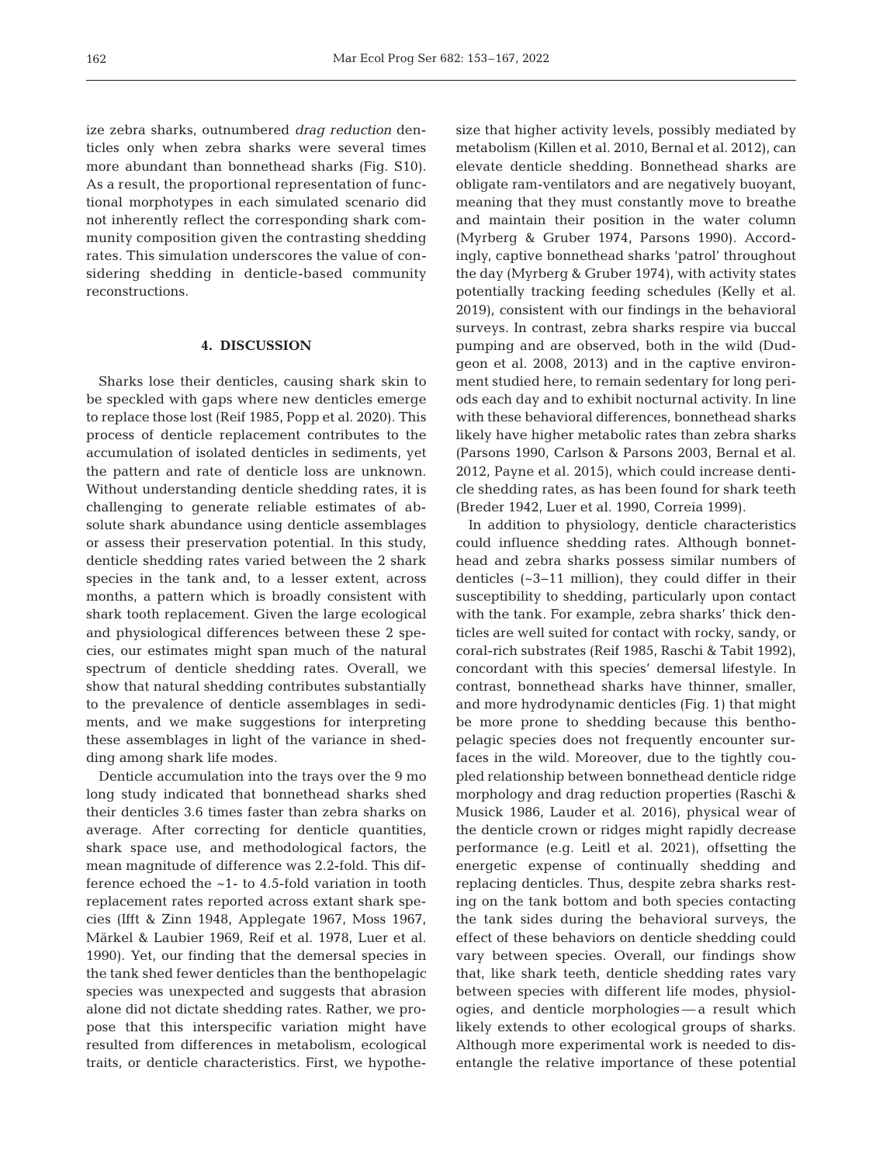ize zebra sharks, outnumbered *drag reduction* denticles only when zebra sharks were several times more abundant than bonnethead sharks (Fig. S10). As a result, the proportional representation of functional morphotypes in each simulated scenario did not inherently reflect the corresponding shark community composition given the contrasting shedding rates. This simulation underscores the value of considering shedding in denticle-based community reconstructions.

# **4. DISCUSSION**

Sharks lose their denticles, causing shark skin to be speckled with gaps where new denticles emerge to replace those lost (Reif 1985, Popp et al. 2020). This process of denticle replacement contributes to the accumulation of isolated denticles in sediments, yet the pattern and rate of denticle loss are unknown. Without understanding denticle shedding rates, it is challenging to generate reliable estimates of absolute shark abundance using denticle assemblages or assess their preservation potential. In this study, denticle shedding rates varied between the 2 shark species in the tank and, to a lesser extent, across months, a pattern which is broadly consistent with shark tooth replacement. Given the large ecological and physiological differences between these 2 species, our estimates might span much of the natural spectrum of denticle shedding rates. Overall, we show that natural shedding contributes substantially to the prevalence of denticle assemblages in sediments, and we make suggestions for interpreting these assemblages in light of the variance in shedding among shark life modes.

Denticle accumulation into the trays over the 9 mo long study indicated that bonnethead sharks shed their denticles 3.6 times faster than zebra sharks on average. After correcting for denticle quantities, shark space use, and methodological factors, the mean magnitude of difference was 2.2-fold. This difference echoed the ~1- to 4.5-fold variation in tooth replacement rates reported across extant shark species (Ifft & Zinn 1948, Applegate 1967, Moss 1967, Märkel & Laubier 1969, Reif et al. 1978, Luer et al. 1990). Yet, our finding that the demersal species in the tank shed fewer denticles than the benthopelagic species was unexpected and suggests that abrasion alone did not dictate shedding rates. Rather, we propose that this interspecific variation might have resulted from differences in metabolism, ecological traits, or denticle characteristics. First, we hypothesize that higher activity levels, possibly mediated by metabolism (Killen et al. 2010, Bernal et al. 2012), can elevate denticle shedding. Bonnethead sharks are obligate ram-ventilators and are negatively buoyant, meaning that they must constantly move to breathe and maintain their position in the water column (Myrberg & Gruber 1974, Parsons 1990). Accordingly, captive bonnethead sharks 'patrol' throughout the day (Myrberg & Gruber 1974), with activity states potentially tracking feeding schedules (Kelly et al. 2019), consistent with our findings in the behavioral surveys. In contrast, zebra sharks respire via buccal pumping and are observed, both in the wild (Dudgeon et al. 2008, 2013) and in the captive environment studied here, to remain sedentary for long periods each day and to exhibit nocturnal activity. In line with these behavioral differences, bonnethead sharks likely have higher metabolic rates than zebra sharks (Parsons 1990, Carlson & Parsons 2003, Bernal et al. 2012, Payne et al. 2015), which could increase denticle shedding rates, as has been found for shark teeth (Breder 1942, Luer et al. 1990, Correia 1999).

In addition to physiology, denticle characteristics could influence shedding rates. Although bonnethead and zebra sharks possess similar numbers of denticles (~3−11 million), they could differ in their susceptibility to shedding, particularly upon contact with the tank. For example, zebra sharks' thick denticles are well suited for contact with rocky, sandy, or coral-rich substrates (Reif 1985, Raschi & Tabit 1992), concordant with this species' demersal lifestyle. In contrast, bonnethead sharks have thinner, smaller, and more hydrodynamic denticles (Fig. 1) that might be more prone to shedding because this benthopelagic species does not frequently encounter surfaces in the wild. Moreover, due to the tightly coupled relationship between bonnethead denticle ridge morphology and drag reduction properties (Raschi & Musick 1986, Lauder et al. 2016), physical wear of the denticle crown or ridges might rapidly decrease performance (e.g. Leitl et al. 2021), offsetting the energetic expense of continually shedding and replacing denticles. Thus, despite zebra sharks resting on the tank bottom and both species contacting the tank sides during the behavioral surveys, the effect of these behaviors on denticle shedding could vary between species. Overall, our findings show that, like shark teeth, denticle shedding rates vary between species with different life modes, physiologies, and denticle morphologies — a result which likely extends to other ecological groups of sharks. Although more experimental work is needed to disentangle the relative importance of these potential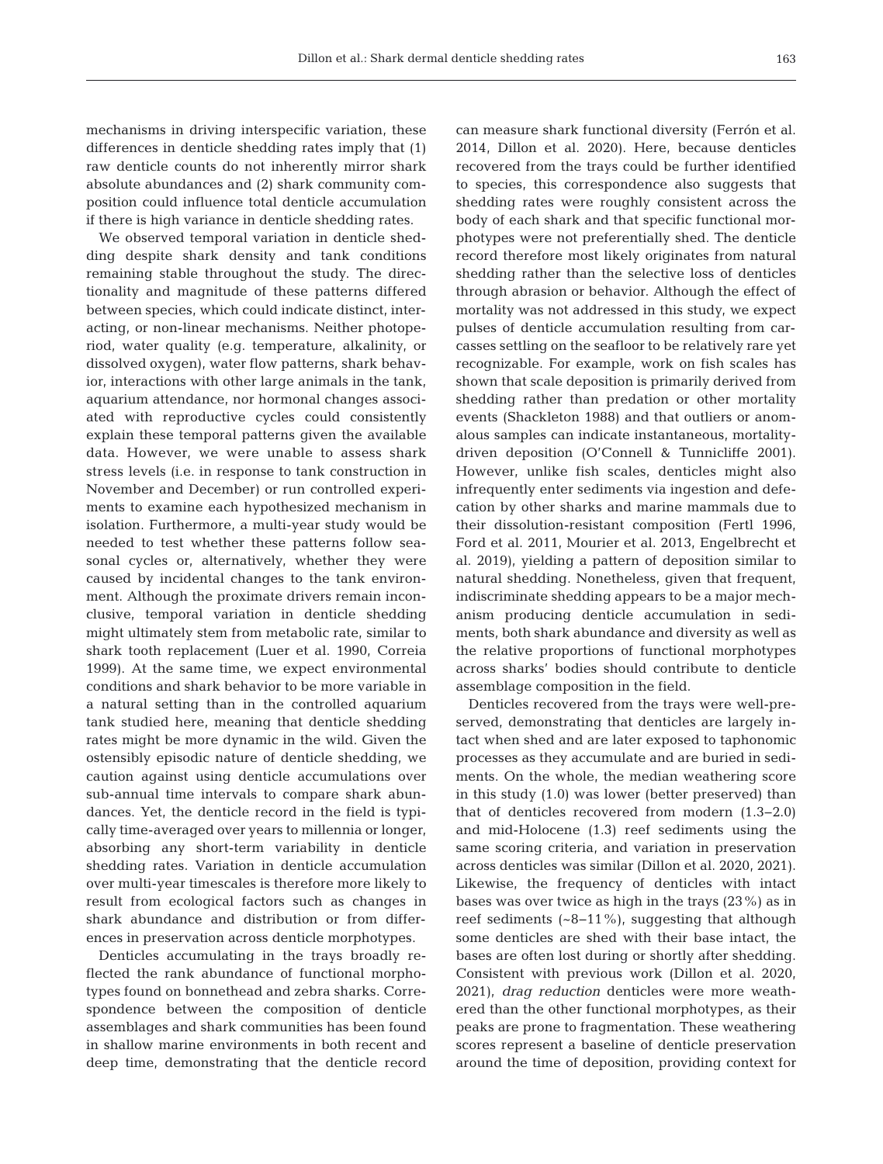mechanisms in driving interspecific variation, these differences in denticle shedding rates imply that (1) raw denticle counts do not inherently mirror shark absolute abundances and (2) shark community composition could influence total denticle accumulation if there is high variance in denticle shedding rates.

We observed temporal variation in denticle shedding despite shark density and tank conditions remaining stable throughout the study. The directionality and magnitude of these patterns differed between species, which could indicate distinct, interacting, or non-linear mechanisms. Neither photoperiod, water quality (e.g. temperature, alkalinity, or dissolved oxygen), water flow patterns, shark behavior, interactions with other large animals in the tank, aquarium attendance, nor hormonal changes associated with reproductive cycles could consistently explain these temporal patterns given the available data. However, we were unable to assess shark stress levels (i.e. in response to tank construction in November and December) or run controlled experiments to examine each hypothesized mechanism in isolation. Furthermore, a multi-year study would be needed to test whether these patterns follow seasonal cycles or, alternatively, whether they were caused by incidental changes to the tank environment. Although the proximate drivers remain inconclusive, temporal variation in denticle shedding might ultimately stem from metabolic rate, similar to shark tooth replacement (Luer et al. 1990, Correia 1999). At the same time, we expect environmental conditions and shark behavior to be more variable in a natural setting than in the controlled aquarium tank studied here, meaning that denticle shedding rates might be more dynamic in the wild. Given the ostensibly episodic nature of denticle shedding, we caution against using denticle accumulations over sub-annual time intervals to compare shark abundances. Yet, the denticle record in the field is typically time-averaged over years to millennia or longer, absorbing any short-term variability in denticle shedding rates. Variation in denticle accumulation over multi-year timescales is therefore more likely to result from ecological factors such as changes in shark abundance and distribution or from differences in preservation across denticle morphotypes.

Denticles accumulating in the trays broadly reflected the rank abundance of functional morphotypes found on bonnethead and zebra sharks. Correspondence between the composition of denticle assemblages and shark communities has been found in shallow marine environments in both recent and deep time, demonstrating that the denticle record

can measure shark functional diversity (Ferrón et al. 2014, Dillon et al. 2020). Here, because denticles recovered from the trays could be further identified to species, this correspondence also suggests that shedding rates were roughly consistent across the body of each shark and that specific functional morphotypes were not preferentially shed. The denticle record therefore most likely originates from natural shedding rather than the selective loss of denticles through abrasion or behavior. Although the effect of mortality was not addressed in this study, we expect pulses of denticle accumulation resulting from carcasses settling on the seafloor to be relatively rare yet recognizable. For example, work on fish scales has shown that scale deposition is primarily derived from shedding rather than predation or other mortality events (Shackleton 1988) and that outliers or anomalous samples can indicate instantaneous, mortalitydriven deposition (O'Connell & Tunnicliffe 2001). However, unlike fish scales, denticles might also infrequently enter sediments via ingestion and defecation by other sharks and marine mammals due to their dissolution-resistant composition (Fertl 1996, Ford et al. 2011, Mourier et al. 2013, Engelbrecht et al. 2019), yielding a pattern of deposition similar to natural shedding. Nonetheless, given that frequent, indiscriminate shedding appears to be a major mechanism producing denticle accumulation in sediments, both shark abundance and diversity as well as the relative proportions of functional morphotypes across sharks' bodies should contribute to denticle assemblage composition in the field.

Denticles recovered from the trays were well-preserved, demonstrating that denticles are largely intact when shed and are later exposed to taphonomic processes as they accumulate and are buried in sediments. On the whole, the median weathering score in this study (1.0) was lower (better preserved) than that of denticles recovered from modern (1.3− 2.0) and mid-Holocene (1.3) reef sediments using the same scoring criteria, and variation in preservation across denticles was similar (Dillon et al. 2020, 2021). Likewise, the frequency of denticles with intact bases was over twice as high in the trays (23%) as in reef sediments (~8−11%), suggesting that although some denticles are shed with their base intact, the bases are often lost during or shortly after shedding. Consistent with previous work (Dillon et al. 2020, 2021), *drag reduction* denticles were more weathered than the other functional morphotypes, as their peaks are prone to fragmentation. These weathering scores represent a baseline of denticle preservation around the time of deposition, providing context for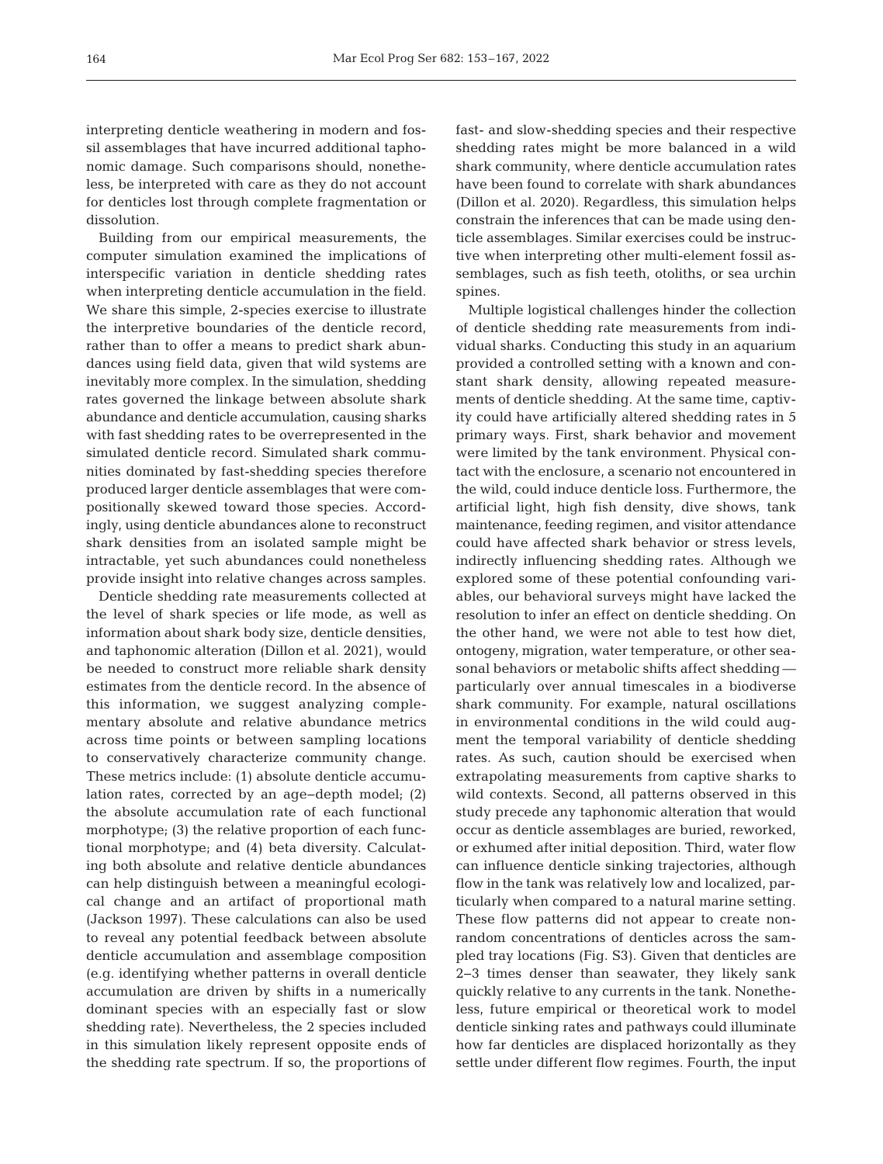interpreting denticle weathering in modern and fossil assemblages that have incurred additional taphonomic damage. Such comparisons should, nonetheless, be interpreted with care as they do not account for denticles lost through complete fragmentation or dissolution.

Building from our empirical measurements, the computer simulation examined the implications of interspecific variation in denticle shedding rates when interpreting denticle accumulation in the field. We share this simple, 2-species exercise to illustrate the interpretive boundaries of the denticle record, rather than to offer a means to predict shark abundances using field data, given that wild systems are inevitably more complex. In the simulation, shedding rates governed the linkage between absolute shark abundance and denticle accumulation, causing sharks with fast shedding rates to be overrepresented in the simulated denticle record. Simulated shark communities dominated by fast-shedding species therefore produced larger denticle assemblages that were compositionally skewed toward those species. Accordingly, using denticle abundances alone to reconstruct shark densities from an isolated sample might be intractable, yet such abundances could nonetheless provide insight into relative changes across samples.

Denticle shedding rate measurements collected at the level of shark species or life mode, as well as information about shark body size, denticle densities, and taphonomic alteration (Dillon et al. 2021), would be needed to construct more reliable shark density estimates from the denticle record. In the absence of this information, we suggest analyzing complementary absolute and relative abundance metrics across time points or between sampling locations to conservatively characterize community change. These metrics include: (1) absolute denticle accumulation rates, corrected by an age−depth model; (2) the absolute accumulation rate of each functional morphotype; (3) the relative proportion of each functional morphotype; and (4) beta diversity. Calculating both absolute and relative denticle abundances can help distinguish between a meaningful ecological change and an artifact of proportional math (Jackson 1997). These calculations can also be used to reveal any potential feedback between absolute denticle accumulation and assemblage composition (e.g. identifying whether patterns in overall denticle accumulation are driven by shifts in a numerically dominant species with an especially fast or slow shedding rate). Nevertheless, the 2 species included in this simulation likely represent opposite ends of the shedding rate spectrum. If so, the proportions of

fast- and slow-shedding species and their respective shedding rates might be more balanced in a wild shark community, where denticle accumulation rates have been found to correlate with shark abundances (Dillon et al. 2020). Regardless, this simulation helps constrain the inferences that can be made using denticle assemblages. Similar exercises could be instructive when interpreting other multi-element fossil as semblages, such as fish teeth, otoliths, or sea urchin spines.

Multiple logistical challenges hinder the collection of denticle shedding rate measurements from individual sharks. Conducting this study in an aquarium provided a controlled setting with a known and constant shark density, allowing repeated measurements of denticle shedding. At the same time, captivity could have artificially altered shedding rates in 5 primary ways. First, shark behavior and movement were limited by the tank environment. Physical contact with the enclosure, a scenario not encountered in the wild, could induce denticle loss. Furthermore, the artificial light, high fish density, dive shows, tank maintenance, feeding regimen, and visitor attendance could have affected shark behavior or stress levels, indirectly influencing shedding rates. Although we explored some of these potential confounding variables, our behavioral surveys might have lacked the resolution to infer an effect on denticle shedding. On the other hand, we were not able to test how diet, ontogeny, migration, water temperature, or other seasonal behaviors or metabolic shifts affect shedding particularly over annual timescales in a biodiverse shark community. For example, natural oscillations in environmental conditions in the wild could augment the temporal variability of denticle shedding rates. As such, caution should be exercised when extrapolating measurements from captive sharks to wild contexts. Second, all patterns observed in this study precede any taphonomic alteration that would occur as denticle assemblages are buried, reworked, or exhumed after initial deposition. Third, water flow can influence denticle sinking trajectories, although flow in the tank was relatively low and localized, particularly when compared to a natural marine setting. These flow patterns did not appear to create nonrandom concentrations of denticles across the sampled tray locations (Fig. S3). Given that denticles are 2−3 times denser than seawater, they likely sank quickly relative to any currents in the tank. Nonetheless, future empirical or theoretical work to model denticle sinking rates and pathways could illuminate how far denticles are displaced horizontally as they settle under different flow regimes. Fourth, the input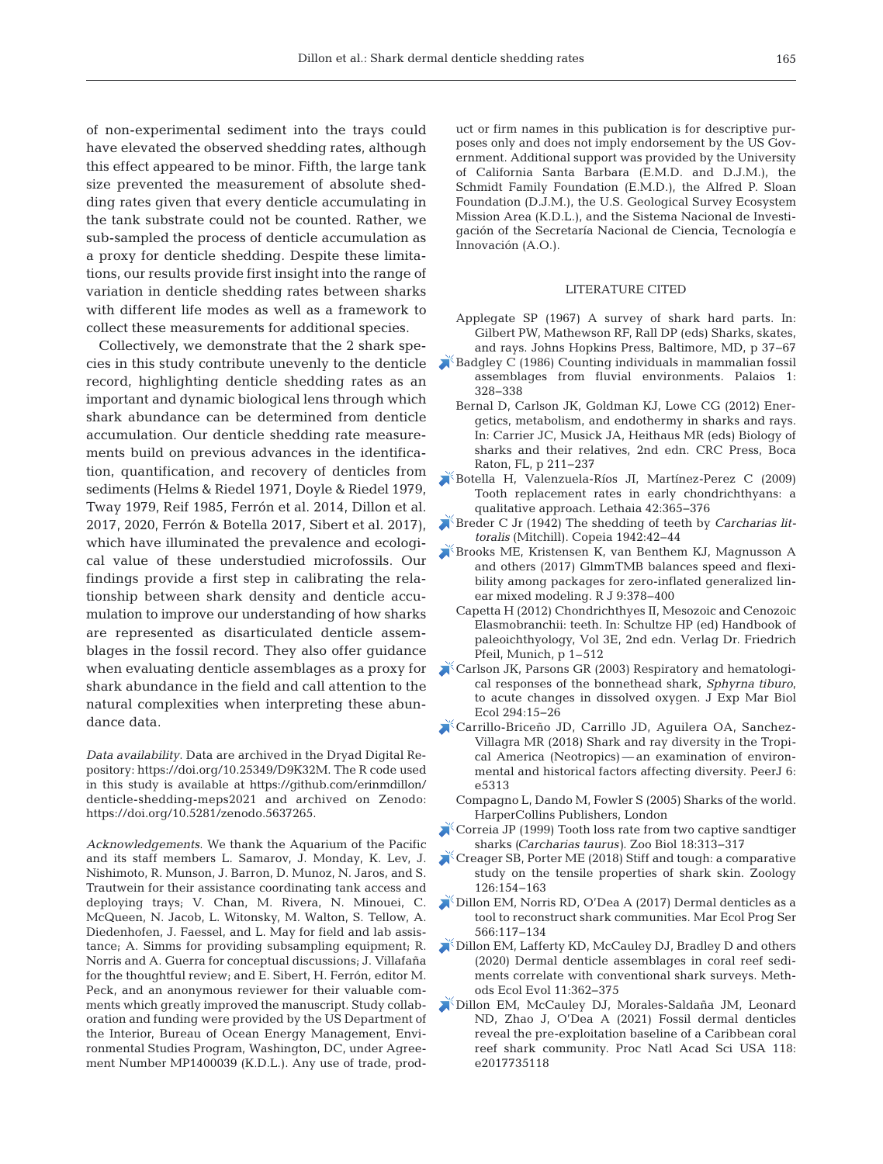of non-experimental sediment into the trays could have elevated the observed shedding rates, although this effect appeared to be minor. Fifth, the large tank size prevented the measurement of absolute shedding rates given that every denticle accumulating in the tank substrate could not be counted. Rather, we sub-sampled the process of denticle accumulation as a proxy for denticle shedding. Despite these limitations, our results provide first insight into the range of variation in denticle shedding rates between sharks with different life modes as well as a framework to collect these measurements for additional species.

Collectively, we demonstrate that the 2 shark species in this study contribute unevenly to the denticle record, highlighting denticle shedding rates as an important and dynamic biological lens through which shark abundance can be determined from denticle accumulation. Our denticle shedding rate measurements build on previous advances in the identification, quantification, and recovery of denticles from sediments (Helms & Riedel 1971, Doyle & Riedel 1979, Tway 1979, Reif 1985, Ferrón et al. 2014, Dillon et al. 2017, 2020, Ferrón & Botella 2017, Sibert et al. 2017), which have illuminated the prevalence and ecological value of these understudied microfossils. Our findings provide a first step in calibrating the relationship between shark density and denticle accumulation to improve our understanding of how sharks are represented as disarticulated denticle assemblages in the fossil record. They also offer guidance when evaluating denticle assemblages as a proxy for shark abundance in the field and call attention to the natural complexities when interpreting these abundance data.

*Data availability*. Data are archived in the Dryad Digital Re pository: https://doi.org/10.25349/D9K32M. The R code used in this study is available at https://github.com/erinmdillon/ denticle-shedding-meps2021 and archived on Zenodo: https:// doi.org/10.5281/zenodo.5637265.

*Acknowledgements*. We thank the Aquarium of the Pacific and its staff members L. Samarov, J. Monday, K. Lev, J. Nishimoto, R. Munson, J. Barron, D. Munoz, N. Jaros, and S. Trautwein for their assistance coordinating tank access and deploying trays; V. Chan, M. Rivera, N. Minouei, C. McQueen, N. Jacob, L. Witonsky, M. Walton, S. Tellow, A. Diedenhofen, J. Faessel, and L. May for field and lab assistance; A. Simms for providing subsampling equipment; R. Norris and A. Guerra for conceptual discussions; J. Villafaña for the thoughtful review; and E. Sibert, H. Ferrón, editor M. Peck, and an anonymous reviewer for their valuable comments which greatly improved the manuscript. Study collaboration and funding were provided by the US Department of the Interior, Bureau of Ocean Energy Management, Environmental Studies Program, Washington, DC, under Agreement Number MP1400039 (K.D.L.). Any use of trade, product or firm names in this publication is for descriptive purposes only and does not imply endorsement by the US Government. Additional support was provided by the University of California Santa Barbara (E.M.D. and D.J.M.), the Schmidt Family Foundation (E.M.D.), the Alfred P. Sloan Foundation (D.J.M.), the U.S. Geological Survey Ecosystem Mission Area (K.D.L.), and the Sistema Nacional de Investigación of the Secretaría Nacional de Ciencia, Tecnología e Innovación (A.O.).

## LITERATURE CITED

- Applegate SP (1967) A survey of shark hard parts. In: Gilbert PW, Mathewson RF, Rall DP (eds) Sharks, skates, and rays. Johns Hopkins Press, Baltimore, MD, p 37−67
- [Badgley C \(1986\) Counting individuals in mammalian fossil](https://doi.org/10.2307/3514695) assemblages from fluvial environments. Palaios 1: 328−338
	- Bernal D, Carlson JK, Goldman KJ, Lowe CG (2012) Energetics, metabolism, and endothermy in sharks and rays. In:Carrier JC, Musick JA, Heithaus MR (eds) Biology of sharks and their relatives, 2nd edn. CRC Press, Boca Raton, FL, p 211−237
- [Botella H, Valenzuela-Ríos JI, Martínez-Perez C \(2009\)](https://doi.org/10.1111/j.1502-3931.2009.00152.x) Tooth replacement rates in early chondrichthyans: a qualitative approach. Lethaia 42:365-376
- [Breder C Jr \(1942\) The shedding of teeth by](https://doi.org/10.2307/1437945) *Carcharias littoralis* (Mitchill). Copeia 1942: 42−44
- [Brooks ME, Kristensen K, van Benthem KJ, Magnusson A](https://doi.org/10.32614/RJ-2017-066) and others (2017) GlmmTMB balances speed and flexibility among packages for zero-inflated generalized linear mixed modeling. R J 9:378-400
- Capetta H (2012) Chondrichthyes II, Mesozoic and Cenozoic Elasmobranchii: teeth. In: Schultze HP (ed) Handbook of paleoichthyology, Vol 3E, 2nd edn. Verlag Dr. Friedrich Pfeil, Munich, p 1–512
- Carlson JK, Parsons GR (2003) Respiratory and hematological responses of the bonnethead shark, *Sphyrna tiburo*, to acute changes in dissolved oxygen. J Exp Mar Biol Ecol 294: 15−26
- [Carrillo-Briceño JD, Carrillo JD, Aguilera OA, Sanchez-](https://doi.org/10.7717/peerj.5313)Villagra MR (2018) Shark and ray diversity in the Tropical America (Neotropics) — an examination of environmental and historical factors affecting diversity. PeerJ 6: e5313
	- Compagno L, Dando M, Fowler S (2005) Sharks of the world. HarperCollins Publishers, London
- [Correia JP \(1999\) Tooth loss rate from two captive sandtiger](https://doi.org/10.1002/(SICI)1098-2361(1999)18%3A4%3C313%3A%3AAID-ZOO5%3E3.0.CO%3B2-D) sharks *(Carcharias taurus)*. Zoo Biol 18:313-317
- Creager SB, Porter ME (2018) Stiff and tough: a comparative study on the tensile properties of shark skin. Zoology 126: 154−163
- [Dillon EM, Norris RD, O'Dea A \(2017\) Dermal denticles as a](https://doi.org/10.3354/meps12018) tool to reconstruct shark communities. Mar Ecol Prog Ser 566: 117−134
- [Dillon EM, Lafferty KD, McCauley DJ, Bradley D and others](https://doi.org/10.1111/2041-210X.13346) (2020) Dermal denticle assemblages in coral reef sediments correlate with conventional shark surveys. Methods Ecol Evol 11: 362−375
- [Dillon EM, McCauley DJ, Morales-Saldaña JM, Leonard](https://doi.org/10.1073/pnas.2017735118) ND, Zhao J, O'Dea A (2021) Fossil dermal denticles reveal the pre-exploitation baseline of a Caribbean coral reef shark community. Proc Natl Acad Sci USA 118: e2017735118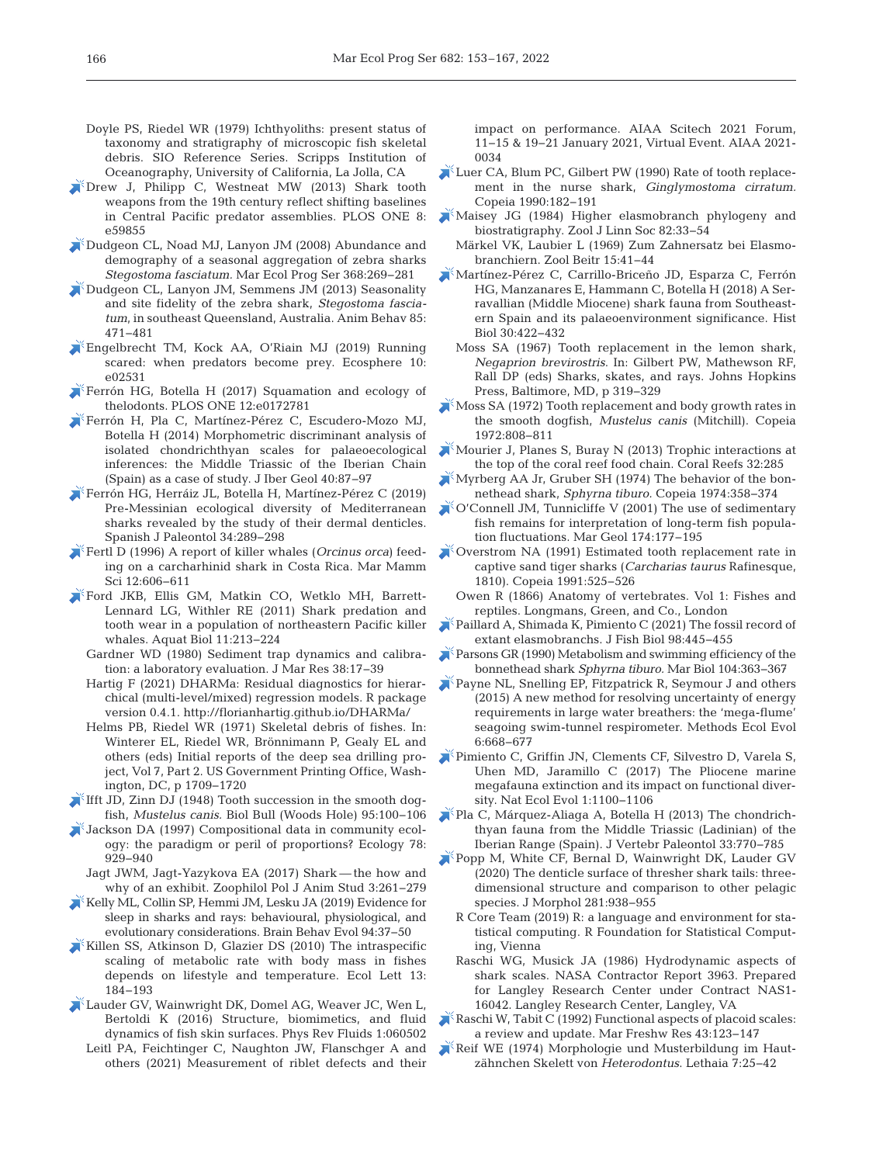- Doyle PS, Riedel WR (1979) Ichthyoliths: present status of taxonomy and stratigraphy of microscopic fish skeletal debris. SIO Reference Series. Scripps Institution of Oceanography, University of California, La Jolla, CA
- [Drew J, Philipp C, Westneat MW \(2013\) Shark tooth](https://doi.org/10.1371/journal.pone.0059855) weapons from the 19th century reflect shifting baselines in Central Pacific predator assemblies. PLOS ONE 8: e59855
- [Dudgeon CL, Noad MJ, Lanyon JM \(2008\) Abundance and](https://doi.org/10.3354/meps07581) demography of a seasonal aggregation of zebra sharks *Stegostoma fasciatum.* Mar Ecol Prog Ser 368: 269−281
- [Dudgeon CL, Lanyon JM, Semmens JM \(2013\) Seasonality](https://doi.org/10.1016/j.anbehav.2012.12.013) and site fidelity of the zebra shark, *Stegostoma fasciatum*, in southeast Queensland, Australia. Anim Behav 85: 471−481
- [Engelbrecht TM, Kock AA, O'Riain MJ \(2019\) Running](https://doi.org/10.1002/ecs2.2531) scared: when predators become prey. Ecosphere 10: e02531
- [Ferrón HG, Botella H \(2017\) Squamation and ecology of](https://doi.org/10.1371/journal.pone.0172781) thelodonts. PLOS ONE 12:e0172781
- [Ferrón H, Pla C, Martínez-Pérez C, Escudero-Mozo MJ,](https://doi.org/10.5209/rev_JIGE.2014.v40.n1.44089) Botella H (2014) Morphometric discriminant analysis of isolated chondrichthyan scales for palaeoecological inferences: the Middle Triassic of the Iberian Chain (Spain) as a case of study. J Iber Geol 40: 87−97
- [Ferrón HG, Herráiz JL, Botella H, Martínez-Pérez C \(2019\)](https://doi.org/10.7203/sjp.34.2.16118) Pre-Messinian ecological diversity of Mediterranean sharks revealed by the study of their dermal denticles. Spanish J Paleontol 34: 289−298
- [Fertl D \(1996\) A report of killer whales \(](https://doi.org/10.1111/j.1748-7692.1996.tb00075.x)*Orcinus orca*) feeding on a carcharhinid shark in Costa Rica. Mar Mamm Sci 12: 606−611
- [Ford JKB, Ellis GM, Matkin CO, Wetklo MH, Barrett-](https://doi.org/10.3354/ab00307)Lennard LG, Withler RE (2011) Shark predation and tooth wear in a population of northeastern Pacific killer whales. Aquat Biol 11:213-224
	- Gardner WD (1980) Sediment trap dynamics and calibration:a laboratory evaluation. J Mar Res 38: 17−39
	- Hartig F (2021) DHARMa: Residual diagnostics for hierarchical (multi-level/mixed) regression models. R package version 0.4.1. http://florianhartig.github.io/DHARMa/
	- Helms PB, Riedel WR (1971) Skeletal debris of fishes. In: Winterer EL, Riedel WR, Brönnimann P, Gealy EL and others (eds) Initial reports of the deep sea drilling project, Vol 7, Part 2. US Government Printing Office, Washington, DC, p 1709−1720
- [Ifft JD, Zinn DJ \(1948\) Tooth succession in the smooth dog](https://doi.org/10.2307/1538156)fish, *Mustelus canis.* Biol Bull (Woods Hole) 95: 100−106
- [Jackson DA \(1997\) Compositional data in community ecol](https://doi.org/10.1890/0012-9658(1997)078%5b0929%3ACDICET%5d2.0.CO%3B2)ogy: the paradigm or peril of proportions? Ecology 78: 929−940
	- Jagt JWM, Jagt-Yazykova EA (2017) Shark the how and why of an exhibit. Zoophilol Pol J Anim Stud 3:261-279
- [Kelly ML, Collin SP, Hemmi JM, Lesku JA \(2019\) Evidence for](https://doi.org/10.1159/000504123) sleep in sharks and rays: behavioural, physiological, and evolutionary considerations. Brain Behav Evol 94:37-50
- [Killen SS, Atkinson D, Glazier DS \(2010\) The intraspecific](https://doi.org/10.1111/j.1461-0248.2009.01415.x) scaling of metabolic rate with body mass in fishes depends on lifestyle and temperature. Ecol Lett 13: 184−193
- [Lauder GV, Wainwright DK, Domel AG, Weaver JC, Wen L,](https://doi.org/10.1103/PhysRevFluids.1.060502) Bertoldi K (2016) Structure, biomimetics, and fluid dynamics of fish skin surfaces. Phys Rev Fluids 1:060502
	- Leitl PA, Feichtinger C, Naughton JW, Flanschger A and others (2021) Measurement of riblet defects and their

impact on performance. AIAA Scitech 2021 Forum, 11−15 & 19−21 January 2021, Virtual Event. AIAA 2021- 0034

- [Luer CA, Blum PC, Gilbert PW \(1990\) Rate of tooth replace](https://doi.org/10.2307/1445834)ment in the nurse shark, *Ginglymostoma cirratum.* Copeia 1990: 182−191
- [Maisey JG \(1984\) Higher elasmobranch phylogeny and](https://doi.org/10.1111/j.1096-3642.1984.tb00534.x) biostratigraphy. Zool J Linn Soc 82:33-54
	- Märkel VK, Laubier L (1969) Zum Zahnersatz bei Elasmobranchiern. Zool Beitr 15: 41−44
- [Martínez-Pérez C, Carrillo-Briceño JD, Esparza C, Ferrón](https://doi.org/10.1080/08912963.2017.1326111) HG, Manzanares E, Hammann C, Botella H (2018) A Serravallian (Middle Miocene) shark fauna from Southeastern Spain and its palaeoenvironment significance. Hist Biol 30:422-432
	- Moss SA (1967) Tooth replacement in the lemon shark, *Negaprion brevirostris*. In:Gilbert PW, Mathewson RF, Rall DP (eds) Sharks, skates, and rays. Johns Hopkins Press, Baltimore, MD, p 319−329
- [Moss SA \(1972\) Tooth replacement and body growth rates in](https://doi.org/10.2307/1442738) the smooth dogfish, *Mustelus canis* (Mitchill). Copeia 1972: 808−811
- [Mourier J, Planes S, Buray N \(2013\) Trophic interactions at](https://doi.org/10.1007/s00338-012-0976-y) the top of the coral reef food chain. Coral Reefs 32:285
- [Myrberg AA Jr, Gruber SH \(1974\) The behavior of the bon](https://doi.org/10.2307/1442530)nethead shark, *Sphyrna tiburo.* Copeia 1974: 358−374
- $\sim$  [O'Connell JM, Tunnicliffe V \(2001\) The use of sedimentary](https://doi.org/10.1016/S0025-3227(00)00149-3) fish remains for interpretation of long-term fish population fluctuations. Mar Geol 174: 177−195
- [Overstrom NA \(1991\) Estimated tooth replacement rate in](https://doi.org/10.2307/1446602) captive sand tiger sharks (*Carcharias taurus* Rafinesque, 1810). Copeia 1991:525-526
- Owen R (1866) Anatomy of vertebrates. Vol 1: Fishes and reptiles. Longmans, Green, and Co., London
- [Paillard A, Shimada K, Pimiento C \(2021\) The fossil record of](https://doi.org/10.1111/jfb.14588) extant elasmobranchs. J Fish Biol 98:445-455
- **[Parsons GR \(1990\) Metabolism and swimming efficiency of the](https://doi.org/10.1007/BF01314338)** bonnethead shark *Sphyrna tiburo*. Mar Biol 104:363-367
- [Payne NL, Snelling EP, Fitzpatrick R, Seymour J and others](https://doi.org/10.1111/2041-210X.12358) (2015) A new method for resolving uncertainty of energy requirements in large water breathers: the 'mega-flume' seagoing swim-tunnel respirometer. Methods Ecol Evol 6: 668−677
- [Pimiento C, Griffin JN, Clements CF, Silvestro D, Varela S,](https://doi.org/10.1038/s41559-017-0223-6) Uhen MD, Jaramillo C (2017) The Pliocene marine megafauna extinction and its impact on functional diversity. Nat Ecol Evol 1: 1100−1106
- [Pla C, Márquez-Aliaga A, Botella H \(2013\) The chondrich](https://doi.org/10.1080/02724634.2013.748668)thyan fauna from the Middle Triassic (Ladinian) of the Iberian Range (Spain). J Vertebr Paleontol 33: 770−785
- [Popp M, White CF, Bernal D, Wainwright DK, Lauder GV](https://doi.org/10.1002/jmor.21222)  $(2020)$  The denticle surface of thresher shark tails: threedimensional structure and comparison to other pelagic species. J Morphol 281:938-955
	- R Core Team (2019) R: a language and environment for statistical computing. R Foundation for Statistical Computing, Vienna
	- Raschi WG, Musick JA (1986) Hydrodynamic aspects of shark scales. NASA Contractor Report 3963. Prepared for Langley Research Center under Contract NAS1- 16042. Langley Research Center, Langley, VA
- Raschi W, Tabit C [\(1992\) Functional aspects of placoid scales:](https://doi.org/10.1071/MF9920123)  a review and update. Mar Freshw Res 43: 123−147
- [Reif WE \(1974\) Morphologie und Musterbildung im Haut](https://doi.org/10.1111/j.1502-3931.1974.tb00882.x)zähnchen Skelett von *Heterodontus*. Lethaia 7: 25−42